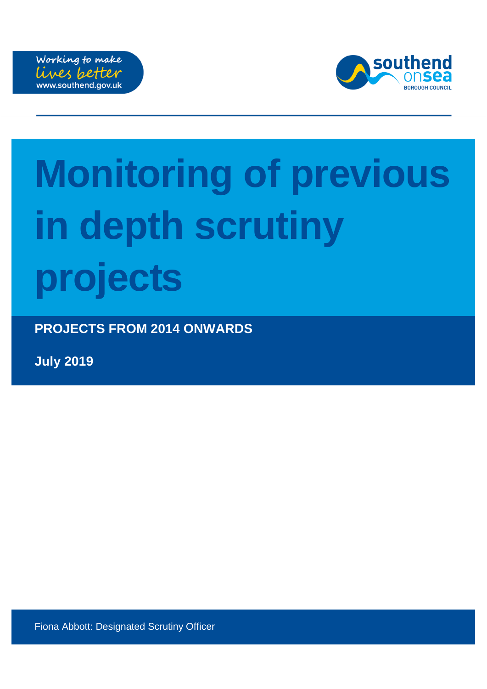



# **Monitoring of previous in depth scrutiny projects**

**PROJECTS FROM 2014 ONWARDS**

**July 2019**

Fiona Abbott: Designated Scrutiny Officer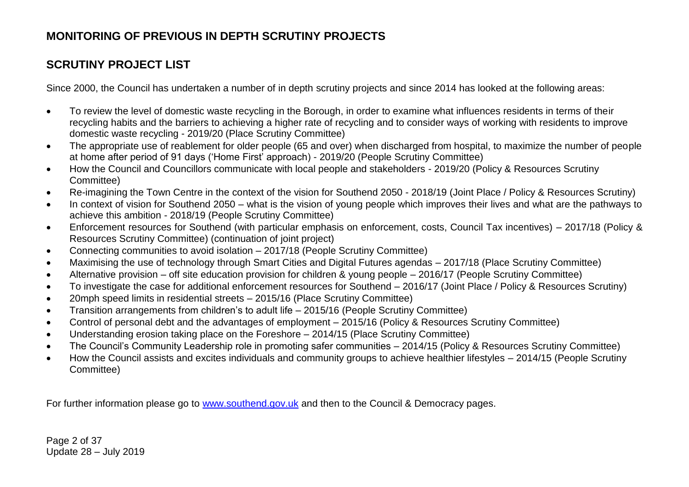# **SCRUTINY PROJECT LIST**

Since 2000, the Council has undertaken a number of in depth scrutiny projects and since 2014 has looked at the following areas:

- To review the level of domestic waste recycling in the Borough, in order to examine what influences residents in terms of their recycling habits and the barriers to achieving a higher rate of recycling and to consider ways of working with residents to improve domestic waste recycling - 2019/20 (Place Scrutiny Committee)
- The appropriate use of reablement for older people (65 and over) when discharged from hospital, to maximize the number of people at home after period of 91 days ('Home First' approach) - 2019/20 (People Scrutiny Committee)
- How the Council and Councillors communicate with local people and stakeholders 2019/20 (Policy & Resources Scrutiny Committee)
- Re-imagining the Town Centre in the context of the vision for Southend 2050 2018/19 (Joint Place / Policy & Resources Scrutiny)
- In context of vision for Southend 2050 what is the vision of young people which improves their lives and what are the pathways to achieve this ambition - 2018/19 (People Scrutiny Committee)
- Enforcement resources for Southend (with particular emphasis on enforcement, costs, Council Tax incentives) 2017/18 (Policy & Resources Scrutiny Committee) (continuation of joint project)
- Connecting communities to avoid isolation 2017/18 (People Scrutiny Committee)
- Maximising the use of technology through Smart Cities and Digital Futures agendas 2017/18 (Place Scrutiny Committee)
- Alternative provision off site education provision for children & young people 2016/17 (People Scrutiny Committee)
- To investigate the case for additional enforcement resources for Southend 2016/17 (Joint Place / Policy & Resources Scrutiny)
- 20mph speed limits in residential streets 2015/16 (Place Scrutiny Committee)
- Transition arrangements from children's to adult life 2015/16 (People Scrutiny Committee)
- Control of personal debt and the advantages of employment 2015/16 (Policy & Resources Scrutiny Committee)
- Understanding erosion taking place on the Foreshore 2014/15 (Place Scrutiny Committee)
- The Council's Community Leadership role in promoting safer communities 2014/15 (Policy & Resources Scrutiny Committee)
- How the Council assists and excites individuals and community groups to achieve healthier lifestyles 2014/15 (People Scrutiny Committee)

For further information please go to [www.southend.gov.uk](http://www.southend.gov.uk/) and then to the Council & Democracy pages.

Page 2 of 37 Update 28 – July 2019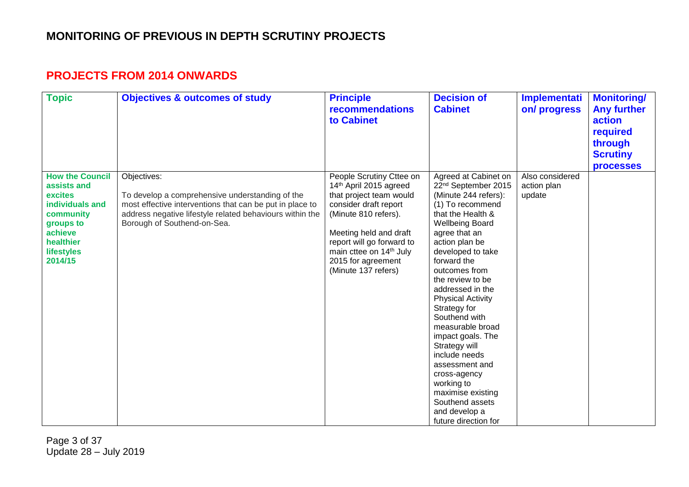#### **PROJECTS FROM 2014 ONWARDS**

| <b>Topic</b>                                                                                                                                   | <b>Objectives &amp; outcomes of study</b>                                                                                                                                                                             | <b>Principle</b><br><b>recommendations</b><br>to Cabinet                                                                                                                                                                                                                  | <b>Decision of</b><br><b>Cabinet</b>                                                                                                                                                                                                                                                                                                                                                                                                                                                                                                                        | <b>Implementati</b><br>on/progress       | <b>Monitoring/</b><br><b>Any further</b><br>action<br>required<br>through<br><b>Scrutiny</b><br><b>processes</b> |
|------------------------------------------------------------------------------------------------------------------------------------------------|-----------------------------------------------------------------------------------------------------------------------------------------------------------------------------------------------------------------------|---------------------------------------------------------------------------------------------------------------------------------------------------------------------------------------------------------------------------------------------------------------------------|-------------------------------------------------------------------------------------------------------------------------------------------------------------------------------------------------------------------------------------------------------------------------------------------------------------------------------------------------------------------------------------------------------------------------------------------------------------------------------------------------------------------------------------------------------------|------------------------------------------|------------------------------------------------------------------------------------------------------------------|
| <b>How the Council</b><br>assists and<br>excites<br>individuals and<br>community<br>groups to<br>achieve<br>healthier<br>lifestyles<br>2014/15 | Objectives:<br>To develop a comprehensive understanding of the<br>most effective interventions that can be put in place to<br>address negative lifestyle related behaviours within the<br>Borough of Southend-on-Sea. | People Scrutiny Cttee on<br>14th April 2015 agreed<br>that project team would<br>consider draft report<br>(Minute 810 refers).<br>Meeting held and draft<br>report will go forward to<br>main cttee on 14 <sup>th</sup> July<br>2015 for agreement<br>(Minute 137 refers) | Agreed at Cabinet on<br>22 <sup>nd</sup> September 2015<br>(Minute 244 refers):<br>(1) To recommend<br>that the Health &<br><b>Wellbeing Board</b><br>agree that an<br>action plan be<br>developed to take<br>forward the<br>outcomes from<br>the review to be<br>addressed in the<br><b>Physical Activity</b><br>Strategy for<br>Southend with<br>measurable broad<br>impact goals. The<br>Strategy will<br>include needs<br>assessment and<br>cross-agency<br>working to<br>maximise existing<br>Southend assets<br>and develop a<br>future direction for | Also considered<br>action plan<br>update |                                                                                                                  |

Page 3 of 37 Update 28 – July 2019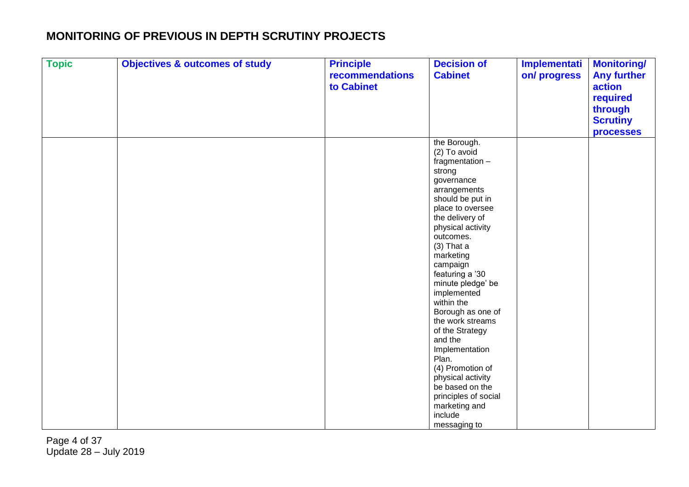| <b>Topic</b> | <b>Objectives &amp; outcomes of study</b> | <b>Principle</b><br>recommendations | <b>Decision of</b><br><b>Cabinet</b>  | <b>Implementati</b><br>on/progress | <b>Monitoring/</b><br><b>Any further</b> |
|--------------|-------------------------------------------|-------------------------------------|---------------------------------------|------------------------------------|------------------------------------------|
|              |                                           | to Cabinet                          |                                       |                                    | action                                   |
|              |                                           |                                     |                                       |                                    | required                                 |
|              |                                           |                                     |                                       |                                    | through                                  |
|              |                                           |                                     |                                       |                                    | <b>Scrutiny</b>                          |
|              |                                           |                                     |                                       |                                    |                                          |
|              |                                           |                                     |                                       |                                    | <b>processes</b>                         |
|              |                                           |                                     | the Borough.<br>(2) To avoid          |                                    |                                          |
|              |                                           |                                     | fragmentation -                       |                                    |                                          |
|              |                                           |                                     | strong                                |                                    |                                          |
|              |                                           |                                     | governance                            |                                    |                                          |
|              |                                           |                                     | arrangements                          |                                    |                                          |
|              |                                           |                                     | should be put in                      |                                    |                                          |
|              |                                           |                                     | place to oversee                      |                                    |                                          |
|              |                                           |                                     | the delivery of                       |                                    |                                          |
|              |                                           |                                     | physical activity                     |                                    |                                          |
|              |                                           |                                     | outcomes.                             |                                    |                                          |
|              |                                           |                                     | $(3)$ That a                          |                                    |                                          |
|              |                                           |                                     | marketing                             |                                    |                                          |
|              |                                           |                                     | campaign                              |                                    |                                          |
|              |                                           |                                     | featuring a '30                       |                                    |                                          |
|              |                                           |                                     | minute pledge' be                     |                                    |                                          |
|              |                                           |                                     | implemented                           |                                    |                                          |
|              |                                           |                                     | within the                            |                                    |                                          |
|              |                                           |                                     | Borough as one of<br>the work streams |                                    |                                          |
|              |                                           |                                     | of the Strategy                       |                                    |                                          |
|              |                                           |                                     | and the                               |                                    |                                          |
|              |                                           |                                     | Implementation                        |                                    |                                          |
|              |                                           |                                     | Plan.                                 |                                    |                                          |
|              |                                           |                                     | (4) Promotion of                      |                                    |                                          |
|              |                                           |                                     | physical activity                     |                                    |                                          |
|              |                                           |                                     | be based on the                       |                                    |                                          |
|              |                                           |                                     | principles of social                  |                                    |                                          |
|              |                                           |                                     | marketing and                         |                                    |                                          |
|              |                                           |                                     | include                               |                                    |                                          |
|              |                                           |                                     | messaging to                          |                                    |                                          |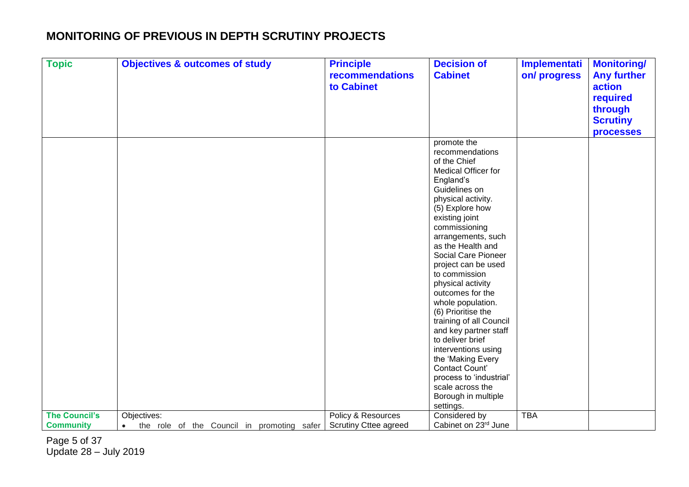| <b>Topic</b>         | <b>Objectives &amp; outcomes of study</b>  | <b>Principle</b>             | <b>Decision of</b>                | <b>Implementati</b> | <b>Monitoring/</b> |
|----------------------|--------------------------------------------|------------------------------|-----------------------------------|---------------------|--------------------|
|                      |                                            | recommendations              | <b>Cabinet</b>                    | on/progress         | <b>Any further</b> |
|                      |                                            | to Cabinet                   |                                   |                     | action             |
|                      |                                            |                              |                                   |                     | required           |
|                      |                                            |                              |                                   |                     | through            |
|                      |                                            |                              |                                   |                     | <b>Scrutiny</b>    |
|                      |                                            |                              |                                   |                     | <b>processes</b>   |
|                      |                                            |                              | promote the                       |                     |                    |
|                      |                                            |                              | recommendations                   |                     |                    |
|                      |                                            |                              | of the Chief                      |                     |                    |
|                      |                                            |                              | <b>Medical Officer for</b>        |                     |                    |
|                      |                                            |                              | England's                         |                     |                    |
|                      |                                            |                              | Guidelines on                     |                     |                    |
|                      |                                            |                              | physical activity.                |                     |                    |
|                      |                                            |                              | (5) Explore how<br>existing joint |                     |                    |
|                      |                                            |                              | commissioning                     |                     |                    |
|                      |                                            |                              | arrangements, such                |                     |                    |
|                      |                                            |                              | as the Health and                 |                     |                    |
|                      |                                            |                              | Social Care Pioneer               |                     |                    |
|                      |                                            |                              | project can be used               |                     |                    |
|                      |                                            |                              | to commission                     |                     |                    |
|                      |                                            |                              | physical activity                 |                     |                    |
|                      |                                            |                              | outcomes for the                  |                     |                    |
|                      |                                            |                              | whole population.                 |                     |                    |
|                      |                                            |                              | (6) Prioritise the                |                     |                    |
|                      |                                            |                              | training of all Council           |                     |                    |
|                      |                                            |                              | and key partner staff             |                     |                    |
|                      |                                            |                              | to deliver brief                  |                     |                    |
|                      |                                            |                              | interventions using               |                     |                    |
|                      |                                            |                              | the 'Making Every                 |                     |                    |
|                      |                                            |                              | Contact Count'                    |                     |                    |
|                      |                                            |                              | process to 'industrial'           |                     |                    |
|                      |                                            |                              | scale across the                  |                     |                    |
|                      |                                            |                              | Borough in multiple               |                     |                    |
| <b>The Council's</b> | Objectives:                                | Policy & Resources           | settings.<br>Considered by        | <b>TBA</b>          |                    |
| <b>Community</b>     | $\bullet$                                  | <b>Scrutiny Cttee agreed</b> | Cabinet on 23rd June              |                     |                    |
|                      | the role of the Council in promoting safer |                              |                                   |                     |                    |

Page 5 of 37 Update 28 – July 2019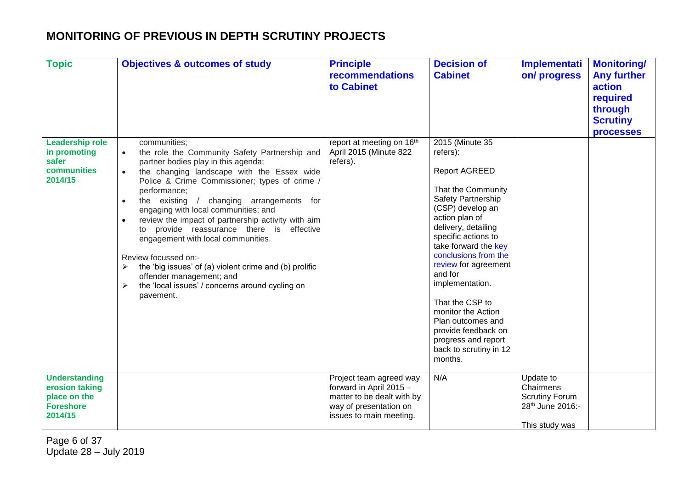| <b>Topic</b>                                                                          | <b>Objectives &amp; outcomes of study</b>                                                                                                                                                                                                                                                                                                                                                                                                                                                                                                                                                                                                                                | <b>Principle</b><br>recommendations<br>to Cabinet                                                                                     | <b>Decision of</b><br><b>Cabinet</b>                                                                                                                                                                                                                                                                                                                                                                                                       | <b>Implementati</b><br>on/progress                                                    | <b>Monitoring/</b><br><b>Any further</b><br>action<br>required<br>through<br><b>Scrutiny</b><br><b>processes</b> |
|---------------------------------------------------------------------------------------|--------------------------------------------------------------------------------------------------------------------------------------------------------------------------------------------------------------------------------------------------------------------------------------------------------------------------------------------------------------------------------------------------------------------------------------------------------------------------------------------------------------------------------------------------------------------------------------------------------------------------------------------------------------------------|---------------------------------------------------------------------------------------------------------------------------------------|--------------------------------------------------------------------------------------------------------------------------------------------------------------------------------------------------------------------------------------------------------------------------------------------------------------------------------------------------------------------------------------------------------------------------------------------|---------------------------------------------------------------------------------------|------------------------------------------------------------------------------------------------------------------|
| <b>Leadership role</b><br>in promoting<br>safer<br>communities<br>2014/15             | communities;<br>the role the Community Safety Partnership and<br>$\bullet$<br>partner bodies play in this agenda;<br>the changing landscape with the Essex wide<br>$\bullet$<br>Police & Crime Commissioner; types of crime /<br>performance;<br>the existing<br>/ changing arrangements for<br>engaging with local communities; and<br>review the impact of partnership activity with aim<br>to provide reassurance there is<br>effective<br>engagement with local communities.<br>Review focussed on:-<br>the 'big issues' of (a) violent crime and (b) prolific<br>≻<br>offender management; and<br>the 'local issues' / concerns around cycling on<br>➤<br>pavement. | report at meeting on 16th<br>April 2015 (Minute 822<br>refers).                                                                       | 2015 (Minute 35<br>refers):<br><b>Report AGREED</b><br>That the Community<br>Safety Partnership<br>(CSP) develop an<br>action plan of<br>delivery, detailing<br>specific actions to<br>take forward the key<br>conclusions from the<br>review for agreement<br>and for<br>implementation.<br>That the CSP to<br>monitor the Action<br>Plan outcomes and<br>provide feedback on<br>progress and report<br>back to scrutiny in 12<br>months. |                                                                                       |                                                                                                                  |
| <b>Understanding</b><br>erosion taking<br>place on the<br><b>Foreshore</b><br>2014/15 |                                                                                                                                                                                                                                                                                                                                                                                                                                                                                                                                                                                                                                                                          | Project team agreed way<br>forward in April 2015 -<br>matter to be dealt with by<br>way of presentation on<br>issues to main meeting. | N/A                                                                                                                                                                                                                                                                                                                                                                                                                                        | Update to<br>Chairmens<br><b>Scrutiny Forum</b><br>28th June 2016:-<br>This study was |                                                                                                                  |

Page 6 of 37 Update 28 – July 2019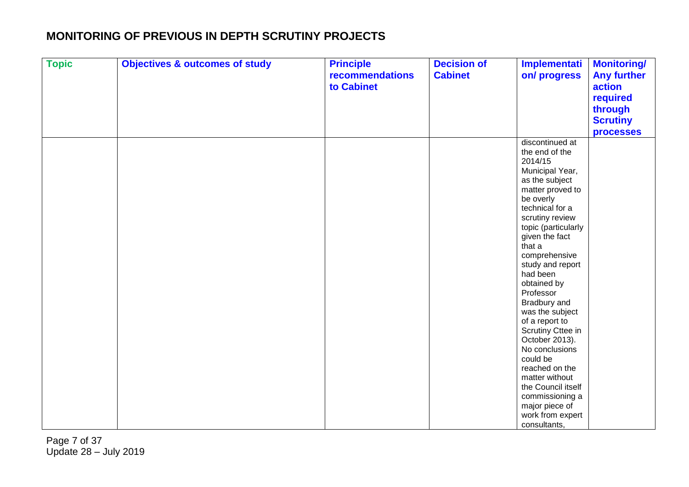| <b>Topic</b> | <b>Objectives &amp; outcomes of study</b> | <b>Principle</b><br>recommendations<br>to Cabinet | <b>Decision of</b><br><b>Cabinet</b> | Implementati<br>on/progress                                                                                                                                                                                                                                                                                                                                                                                                                                                                                                           | <b>Monitoring/</b><br><b>Any further</b><br>action<br>required<br>through<br><b>Scrutiny</b> |
|--------------|-------------------------------------------|---------------------------------------------------|--------------------------------------|---------------------------------------------------------------------------------------------------------------------------------------------------------------------------------------------------------------------------------------------------------------------------------------------------------------------------------------------------------------------------------------------------------------------------------------------------------------------------------------------------------------------------------------|----------------------------------------------------------------------------------------------|
|              |                                           |                                                   |                                      | discontinued at<br>the end of the<br>2014/15<br>Municipal Year,<br>as the subject<br>matter proved to<br>be overly<br>technical for a<br>scrutiny review<br>topic (particularly<br>given the fact<br>that a<br>comprehensive<br>study and report<br>had been<br>obtained by<br>Professor<br>Bradbury and<br>was the subject<br>of a report to<br>Scrutiny Cttee in<br>October 2013).<br>No conclusions<br>could be<br>reached on the<br>matter without<br>the Council itself<br>commissioning a<br>major piece of<br>work from expert | <b>processes</b>                                                                             |
|              |                                           |                                                   |                                      | consultants,                                                                                                                                                                                                                                                                                                                                                                                                                                                                                                                          |                                                                                              |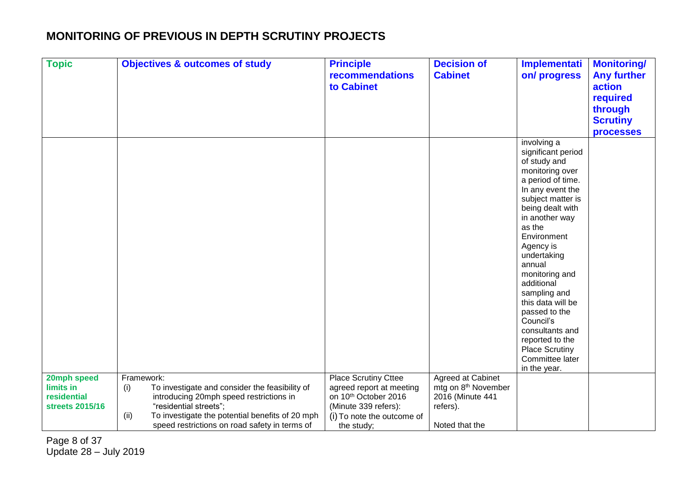| <b>Topic</b>    | <b>Objectives &amp; outcomes of study</b>               | <b>Principle</b>            | <b>Decision of</b>              | <b>Implementati</b>                      | <b>Monitoring/</b> |
|-----------------|---------------------------------------------------------|-----------------------------|---------------------------------|------------------------------------------|--------------------|
|                 |                                                         | recommendations             | <b>Cabinet</b>                  | on/progress                              | <b>Any further</b> |
|                 |                                                         | to Cabinet                  |                                 |                                          | action             |
|                 |                                                         |                             |                                 |                                          | required           |
|                 |                                                         |                             |                                 |                                          | through            |
|                 |                                                         |                             |                                 |                                          | <b>Scrutiny</b>    |
|                 |                                                         |                             |                                 |                                          | <b>processes</b>   |
|                 |                                                         |                             |                                 | involving a                              |                    |
|                 |                                                         |                             |                                 | significant period                       |                    |
|                 |                                                         |                             |                                 | of study and                             |                    |
|                 |                                                         |                             |                                 | monitoring over                          |                    |
|                 |                                                         |                             |                                 | a period of time.                        |                    |
|                 |                                                         |                             |                                 | In any event the                         |                    |
|                 |                                                         |                             |                                 | subject matter is                        |                    |
|                 |                                                         |                             |                                 | being dealt with                         |                    |
|                 |                                                         |                             |                                 | in another way                           |                    |
|                 |                                                         |                             |                                 | as the<br>Environment                    |                    |
|                 |                                                         |                             |                                 | Agency is                                |                    |
|                 |                                                         |                             |                                 | undertaking                              |                    |
|                 |                                                         |                             |                                 | annual                                   |                    |
|                 |                                                         |                             |                                 | monitoring and                           |                    |
|                 |                                                         |                             |                                 | additional                               |                    |
|                 |                                                         |                             |                                 | sampling and                             |                    |
|                 |                                                         |                             |                                 | this data will be                        |                    |
|                 |                                                         |                             |                                 | passed to the                            |                    |
|                 |                                                         |                             |                                 | Council's                                |                    |
|                 |                                                         |                             |                                 | consultants and                          |                    |
|                 |                                                         |                             |                                 | reported to the                          |                    |
|                 |                                                         |                             |                                 | <b>Place Scrutiny</b><br>Committee later |                    |
|                 |                                                         |                             |                                 | in the year.                             |                    |
| 20mph speed     | Framework:                                              | <b>Place Scrutiny Cttee</b> | Agreed at Cabinet               |                                          |                    |
| limits in       | To investigate and consider the feasibility of<br>(i)   | agreed report at meeting    | mtg on 8 <sup>th</sup> November |                                          |                    |
| residential     | introducing 20mph speed restrictions in                 | on 10th October 2016        | 2016 (Minute 441                |                                          |                    |
| streets 2015/16 | "residential streets";                                  | (Minute 339 refers):        | refers).                        |                                          |                    |
|                 | To investigate the potential benefits of 20 mph<br>(ii) | (i) To note the outcome of  |                                 |                                          |                    |
|                 | speed restrictions on road safety in terms of           | the study;                  | Noted that the                  |                                          |                    |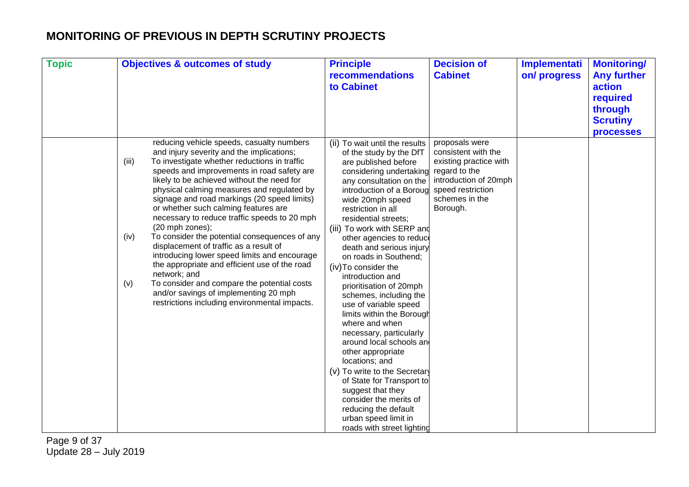| <b>Topic</b> | <b>Objectives &amp; outcomes of study</b>                                                                                                                                                                                                                                                                                                                                                                                                                                                                                                                                                                                                                                                                                                                                                                               | <b>Principle</b><br>recommendations<br>to Cabinet                                                                                                                                                                                                                                                                                                                                                                                                                                                                                                                                                                                                                                                                                                                                                                       | <b>Decision of</b><br><b>Cabinet</b>                                                                                                                         | <b>Implementati</b><br>on/progress | <b>Monitoring/</b><br><b>Any further</b><br>action<br>required<br>through<br><b>Scrutiny</b><br><b>processes</b> |
|--------------|-------------------------------------------------------------------------------------------------------------------------------------------------------------------------------------------------------------------------------------------------------------------------------------------------------------------------------------------------------------------------------------------------------------------------------------------------------------------------------------------------------------------------------------------------------------------------------------------------------------------------------------------------------------------------------------------------------------------------------------------------------------------------------------------------------------------------|-------------------------------------------------------------------------------------------------------------------------------------------------------------------------------------------------------------------------------------------------------------------------------------------------------------------------------------------------------------------------------------------------------------------------------------------------------------------------------------------------------------------------------------------------------------------------------------------------------------------------------------------------------------------------------------------------------------------------------------------------------------------------------------------------------------------------|--------------------------------------------------------------------------------------------------------------------------------------------------------------|------------------------------------|------------------------------------------------------------------------------------------------------------------|
|              | reducing vehicle speeds, casualty numbers<br>and injury severity and the implications;<br>To investigate whether reductions in traffic<br>(iii)<br>speeds and improvements in road safety are<br>likely to be achieved without the need for<br>physical calming measures and regulated by<br>signage and road markings (20 speed limits)<br>or whether such calming features are<br>necessary to reduce traffic speeds to 20 mph<br>(20 mph zones);<br>To consider the potential consequences of any<br>(iv)<br>displacement of traffic as a result of<br>introducing lower speed limits and encourage<br>the appropriate and efficient use of the road<br>network; and<br>To consider and compare the potential costs<br>(v)<br>and/or savings of implementing 20 mph<br>restrictions including environmental impacts. | (ii) To wait until the results<br>of the study by the DfT<br>are published before<br>considering undertaking<br>any consultation on the<br>introduction of a Boroug<br>wide 20mph speed<br>restriction in all<br>residential streets;<br>(iii) To work with SERP and<br>other agencies to reduce<br>death and serious injury<br>on roads in Southend:<br>(iv) To consider the<br>introduction and<br>prioritisation of 20mph<br>schemes, including the<br>use of variable speed<br>limits within the Borough<br>where and when<br>necessary, particularly<br>around local schools and<br>other appropriate<br>locations; and<br>(v) To write to the Secretary<br>of State for Transport to<br>suggest that they<br>consider the merits of<br>reducing the default<br>urban speed limit in<br>roads with street lighting | proposals were<br>consistent with the<br>existing practice with<br>regard to the<br>introduction of 20mph<br>speed restriction<br>schemes in the<br>Borough. |                                    |                                                                                                                  |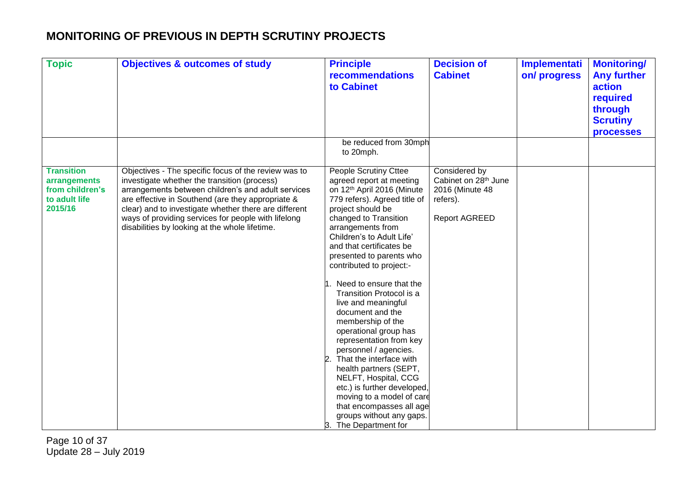| <b>Topic</b>                                                                     | <b>Objectives &amp; outcomes of study</b>                                                                                                                                                                                                                                                                                                                                         | <b>Principle</b><br><b>recommendations</b><br>to Cabinet                                                                                                                                                                                                                                                                                                                                                                                                                                                                                                                                                                                                                                                                                | <b>Decision of</b><br><b>Cabinet</b>                                                                     | Implementati<br>on/progress | <b>Monitoring/</b><br><b>Any further</b><br>action<br>required<br>through<br><b>Scrutiny</b><br><b>processes</b> |
|----------------------------------------------------------------------------------|-----------------------------------------------------------------------------------------------------------------------------------------------------------------------------------------------------------------------------------------------------------------------------------------------------------------------------------------------------------------------------------|-----------------------------------------------------------------------------------------------------------------------------------------------------------------------------------------------------------------------------------------------------------------------------------------------------------------------------------------------------------------------------------------------------------------------------------------------------------------------------------------------------------------------------------------------------------------------------------------------------------------------------------------------------------------------------------------------------------------------------------------|----------------------------------------------------------------------------------------------------------|-----------------------------|------------------------------------------------------------------------------------------------------------------|
|                                                                                  |                                                                                                                                                                                                                                                                                                                                                                                   | be reduced from 30mph<br>to 20mph.                                                                                                                                                                                                                                                                                                                                                                                                                                                                                                                                                                                                                                                                                                      |                                                                                                          |                             |                                                                                                                  |
| <b>Transition</b><br>arrangements<br>from children's<br>to adult life<br>2015/16 | Objectives - The specific focus of the review was to<br>investigate whether the transition (process)<br>arrangements between children's and adult services<br>are effective in Southend (are they appropriate &<br>clear) and to investigate whether there are different<br>ways of providing services for people with lifelong<br>disabilities by looking at the whole lifetime. | People Scrutiny Cttee<br>agreed report at meeting<br>on 12th April 2016 (Minute<br>779 refers). Agreed title of<br>project should be<br>changed to Transition<br>arrangements from<br>Children's to Adult Life'<br>and that certificates be<br>presented to parents who<br>contributed to project:-<br>Need to ensure that the<br>Transition Protocol is a<br>live and meaningful<br>document and the<br>membership of the<br>operational group has<br>representation from key<br>personnel / agencies.<br>2.<br>That the interface with<br>health partners (SEPT,<br>NELFT, Hospital, CCG<br>etc.) is further developed,<br>moving to a model of care<br>that encompasses all age<br>groups without any gaps.<br>3. The Department for | Considered by<br>Cabinet on 28 <sup>th</sup> June<br>2016 (Minute 48<br>refers).<br><b>Report AGREED</b> |                             |                                                                                                                  |

Page 10 of 37 Update 28 – July 2019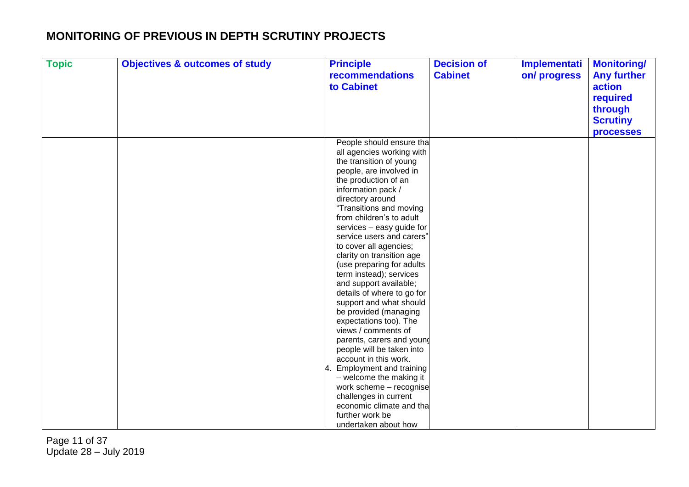| <b>Topic</b> | <b>Objectives &amp; outcomes of study</b> | <b>Principle</b>                     | <b>Decision of</b> | Implementati | <b>Monitoring/</b> |
|--------------|-------------------------------------------|--------------------------------------|--------------------|--------------|--------------------|
|              |                                           | recommendations                      | <b>Cabinet</b>     | on/progress  | <b>Any further</b> |
|              |                                           | to Cabinet                           |                    |              | action             |
|              |                                           |                                      |                    |              | required           |
|              |                                           |                                      |                    |              |                    |
|              |                                           |                                      |                    |              | through            |
|              |                                           |                                      |                    |              | <b>Scrutiny</b>    |
|              |                                           |                                      |                    |              | <b>processes</b>   |
|              |                                           | People should ensure tha             |                    |              |                    |
|              |                                           | all agencies working with            |                    |              |                    |
|              |                                           | the transition of young              |                    |              |                    |
|              |                                           | people, are involved in              |                    |              |                    |
|              |                                           | the production of an                 |                    |              |                    |
|              |                                           | information pack /                   |                    |              |                    |
|              |                                           | directory around                     |                    |              |                    |
|              |                                           | "Transitions and moving              |                    |              |                    |
|              |                                           | from children's to adult             |                    |              |                    |
|              |                                           | services - easy guide for            |                    |              |                    |
|              |                                           | service users and carers"            |                    |              |                    |
|              |                                           | to cover all agencies;               |                    |              |                    |
|              |                                           | clarity on transition age            |                    |              |                    |
|              |                                           | (use preparing for adults            |                    |              |                    |
|              |                                           | term instead); services              |                    |              |                    |
|              |                                           | and support available;               |                    |              |                    |
|              |                                           | details of where to go for           |                    |              |                    |
|              |                                           | support and what should              |                    |              |                    |
|              |                                           | be provided (managing                |                    |              |                    |
|              |                                           | expectations too). The               |                    |              |                    |
|              |                                           | views / comments of                  |                    |              |                    |
|              |                                           | parents, carers and young            |                    |              |                    |
|              |                                           | people will be taken into            |                    |              |                    |
|              |                                           | account in this work.                |                    |              |                    |
|              |                                           | <b>Employment and training</b><br>А. |                    |              |                    |
|              |                                           | - welcome the making it              |                    |              |                    |
|              |                                           | work scheme - recognise              |                    |              |                    |
|              |                                           | challenges in current                |                    |              |                    |
|              |                                           | economic climate and tha             |                    |              |                    |
|              |                                           | further work be                      |                    |              |                    |
|              |                                           | undertaken about how                 |                    |              |                    |

Page 11 of 37 Update 28 – July 2019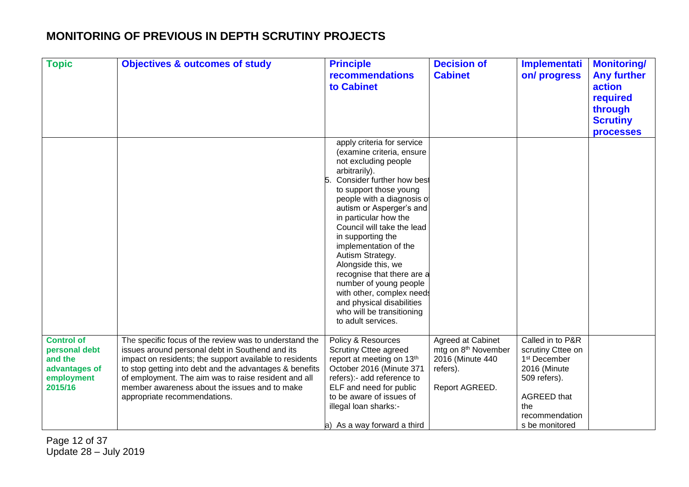| <b>Topic</b>                                                                            | <b>Objectives &amp; outcomes of study</b>                                                                                                                                                                                                                                                                                                                                | <b>Principle</b><br><b>recommendations</b><br>to Cabinet                                                                                                                                                                                                                                                                                                                                                                                                                                                                              | <b>Decision of</b><br><b>Cabinet</b>                                                                   | <b>Implementati</b><br>on/progress                                                                                                                                 | <b>Monitoring/</b><br><b>Any further</b><br>action<br>required<br>through<br><b>Scrutiny</b><br><b>processes</b> |
|-----------------------------------------------------------------------------------------|--------------------------------------------------------------------------------------------------------------------------------------------------------------------------------------------------------------------------------------------------------------------------------------------------------------------------------------------------------------------------|---------------------------------------------------------------------------------------------------------------------------------------------------------------------------------------------------------------------------------------------------------------------------------------------------------------------------------------------------------------------------------------------------------------------------------------------------------------------------------------------------------------------------------------|--------------------------------------------------------------------------------------------------------|--------------------------------------------------------------------------------------------------------------------------------------------------------------------|------------------------------------------------------------------------------------------------------------------|
|                                                                                         |                                                                                                                                                                                                                                                                                                                                                                          | apply criteria for service<br>(examine criteria, ensure<br>not excluding people<br>arbitrarily).<br>Consider further how best<br>to support those young<br>people with a diagnosis of<br>autism or Asperger's and<br>in particular how the<br>Council will take the lead<br>in supporting the<br>implementation of the<br>Autism Strategy.<br>Alongside this, we<br>recognise that there are a<br>number of young people<br>with other, complex needs<br>and physical disabilities<br>who will be transitioning<br>to adult services. |                                                                                                        |                                                                                                                                                                    |                                                                                                                  |
| <b>Control of</b><br>personal debt<br>and the<br>advantages of<br>employment<br>2015/16 | The specific focus of the review was to understand the<br>issues around personal debt in Southend and its<br>impact on residents; the support available to residents<br>to stop getting into debt and the advantages & benefits<br>of employment. The aim was to raise resident and all<br>member awareness about the issues and to make<br>appropriate recommendations. | Policy & Resources<br><b>Scrutiny Cttee agreed</b><br>report at meeting on 13th<br>October 2016 (Minute 371<br>refers):- add reference to<br>ELF and need for public<br>to be aware of issues of<br>illegal loan sharks:-<br>a) As a way forward a third                                                                                                                                                                                                                                                                              | Agreed at Cabinet<br>mtg on 8 <sup>th</sup> November<br>2016 (Minute 440<br>refers).<br>Report AGREED. | Called in to P&R<br>scrutiny Cttee on<br>1 <sup>st</sup> December<br>2016 (Minute<br>509 refers).<br><b>AGREED</b> that<br>the<br>recommendation<br>s be monitored |                                                                                                                  |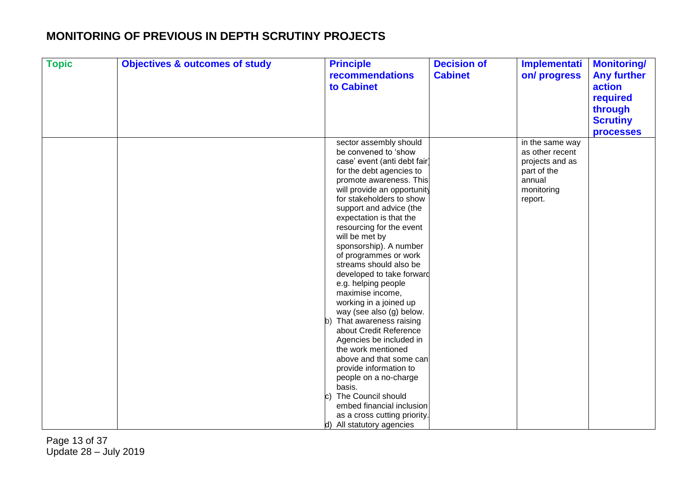| <b>Topic</b> | <b>Objectives &amp; outcomes of study</b> | <b>Principle</b>                                   | <b>Decision of</b> | <b>Implementati</b> | <b>Monitoring/</b> |
|--------------|-------------------------------------------|----------------------------------------------------|--------------------|---------------------|--------------------|
|              |                                           | recommendations                                    | <b>Cabinet</b>     | on/progress         | <b>Any further</b> |
|              |                                           | to Cabinet                                         |                    |                     | action             |
|              |                                           |                                                    |                    |                     | required           |
|              |                                           |                                                    |                    |                     | through            |
|              |                                           |                                                    |                    |                     | <b>Scrutiny</b>    |
|              |                                           |                                                    |                    |                     |                    |
|              |                                           |                                                    |                    |                     | <b>processes</b>   |
|              |                                           | sector assembly should                             |                    | in the same way     |                    |
|              |                                           | be convened to 'show                               |                    | as other recent     |                    |
|              |                                           | case' event (anti debt fair                        |                    | projects and as     |                    |
|              |                                           | for the debt agencies to                           |                    | part of the         |                    |
|              |                                           | promote awareness. This                            |                    | annual              |                    |
|              |                                           | will provide an opportunity                        |                    | monitoring          |                    |
|              |                                           | for stakeholders to show                           |                    | report.             |                    |
|              |                                           | support and advice (the                            |                    |                     |                    |
|              |                                           | expectation is that the                            |                    |                     |                    |
|              |                                           | resourcing for the event                           |                    |                     |                    |
|              |                                           | will be met by                                     |                    |                     |                    |
|              |                                           | sponsorship). A number                             |                    |                     |                    |
|              |                                           | of programmes or work                              |                    |                     |                    |
|              |                                           | streams should also be                             |                    |                     |                    |
|              |                                           | developed to take forward                          |                    |                     |                    |
|              |                                           | e.g. helping people                                |                    |                     |                    |
|              |                                           | maximise income,                                   |                    |                     |                    |
|              |                                           | working in a joined up<br>way (see also (g) below. |                    |                     |                    |
|              |                                           | That awareness raising                             |                    |                     |                    |
|              |                                           | about Credit Reference                             |                    |                     |                    |
|              |                                           | Agencies be included in                            |                    |                     |                    |
|              |                                           | the work mentioned                                 |                    |                     |                    |
|              |                                           | above and that some can                            |                    |                     |                    |
|              |                                           | provide information to                             |                    |                     |                    |
|              |                                           | people on a no-charge                              |                    |                     |                    |
|              |                                           | basis.                                             |                    |                     |                    |
|              |                                           | The Council should                                 |                    |                     |                    |
|              |                                           | embed financial inclusion                          |                    |                     |                    |
|              |                                           | as a cross cutting priority.                       |                    |                     |                    |
|              |                                           | d) All statutory agencies                          |                    |                     |                    |

Page 13 of 37 Update 28 – July 2019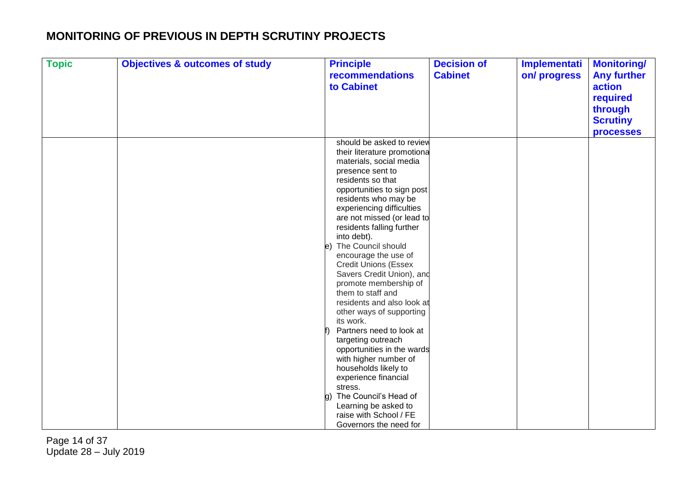| <b>Topic</b> | <b>Objectives &amp; outcomes of study</b> | <b>Principle</b>                | <b>Decision of</b> | Implementati | <b>Monitoring/</b> |
|--------------|-------------------------------------------|---------------------------------|--------------------|--------------|--------------------|
|              |                                           | recommendations                 | <b>Cabinet</b>     | on/progress  | <b>Any further</b> |
|              |                                           | to Cabinet                      |                    |              | action             |
|              |                                           |                                 |                    |              | required           |
|              |                                           |                                 |                    |              | through            |
|              |                                           |                                 |                    |              | <b>Scrutiny</b>    |
|              |                                           |                                 |                    |              | <b>processes</b>   |
|              |                                           | should be asked to review       |                    |              |                    |
|              |                                           | their literature promotiona     |                    |              |                    |
|              |                                           | materials, social media         |                    |              |                    |
|              |                                           | presence sent to                |                    |              |                    |
|              |                                           | residents so that               |                    |              |                    |
|              |                                           | opportunities to sign post      |                    |              |                    |
|              |                                           | residents who may be            |                    |              |                    |
|              |                                           | experiencing difficulties       |                    |              |                    |
|              |                                           | are not missed (or lead to      |                    |              |                    |
|              |                                           | residents falling further       |                    |              |                    |
|              |                                           | into debt).                     |                    |              |                    |
|              |                                           | e) The Council should           |                    |              |                    |
|              |                                           | encourage the use of            |                    |              |                    |
|              |                                           | <b>Credit Unions (Essex</b>     |                    |              |                    |
|              |                                           | Savers Credit Union), and       |                    |              |                    |
|              |                                           | promote membership of           |                    |              |                    |
|              |                                           | them to staff and               |                    |              |                    |
|              |                                           | residents and also look at      |                    |              |                    |
|              |                                           | other ways of supporting        |                    |              |                    |
|              |                                           | its work.                       |                    |              |                    |
|              |                                           | Partners need to look at        |                    |              |                    |
|              |                                           | targeting outreach              |                    |              |                    |
|              |                                           | opportunities in the wards      |                    |              |                    |
|              |                                           | with higher number of           |                    |              |                    |
|              |                                           | households likely to            |                    |              |                    |
|              |                                           | experience financial<br>stress. |                    |              |                    |
|              |                                           | g) The Council's Head of        |                    |              |                    |
|              |                                           | Learning be asked to            |                    |              |                    |
|              |                                           | raise with School / FE          |                    |              |                    |
|              |                                           | Governors the need for          |                    |              |                    |
|              |                                           |                                 |                    |              |                    |

Page 14 of 37 Update 28 – July 2019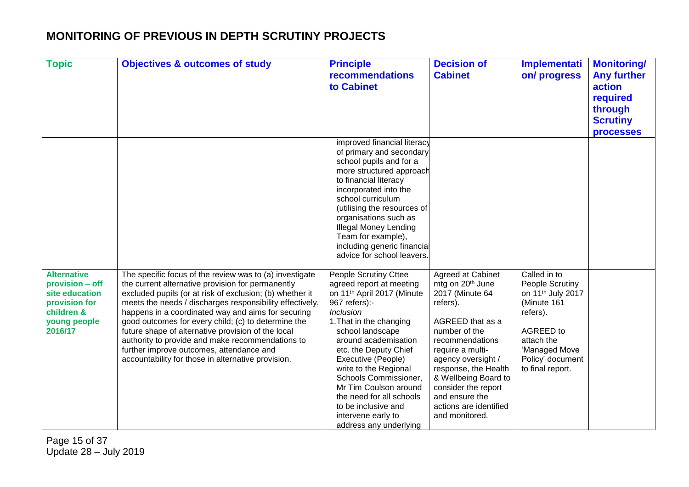| <b>Topic</b>                                                                                                      | <b>Objectives &amp; outcomes of study</b>                                                                                                                                                                                                                                                                                                                                                                                                                                                                                                                     | <b>Principle</b><br><b>recommendations</b><br>to Cabinet                                                                                                                                                                                                                                                                                                                                                                             | <b>Decision of</b><br><b>Cabinet</b>                                                                                                                                                                                                                                                                                    | <b>Implementati</b><br>on/progress                                                                                                                                              | <b>Monitoring/</b><br><b>Any further</b><br>action<br>required<br>through<br><b>Scrutiny</b> |
|-------------------------------------------------------------------------------------------------------------------|---------------------------------------------------------------------------------------------------------------------------------------------------------------------------------------------------------------------------------------------------------------------------------------------------------------------------------------------------------------------------------------------------------------------------------------------------------------------------------------------------------------------------------------------------------------|--------------------------------------------------------------------------------------------------------------------------------------------------------------------------------------------------------------------------------------------------------------------------------------------------------------------------------------------------------------------------------------------------------------------------------------|-------------------------------------------------------------------------------------------------------------------------------------------------------------------------------------------------------------------------------------------------------------------------------------------------------------------------|---------------------------------------------------------------------------------------------------------------------------------------------------------------------------------|----------------------------------------------------------------------------------------------|
|                                                                                                                   |                                                                                                                                                                                                                                                                                                                                                                                                                                                                                                                                                               | improved financial literacy<br>of primary and secondary<br>school pupils and for a<br>more structured approach<br>to financial literacy<br>incorporated into the<br>school curriculum<br>(utilising the resources of<br>organisations such as<br><b>Illegal Money Lending</b><br>Team for example),<br>including generic financial<br>advice for school leavers.                                                                     |                                                                                                                                                                                                                                                                                                                         |                                                                                                                                                                                 | <b>processes</b>                                                                             |
| <b>Alternative</b><br>provision - off<br>site education<br>provision for<br>children &<br>young people<br>2016/17 | The specific focus of the review was to (a) investigate<br>the current alternative provision for permanently<br>excluded pupils (or at risk of exclusion; (b) whether it<br>meets the needs / discharges responsibility effectively,<br>happens in a coordinated way and aims for securing<br>good outcomes for every child; (c) to determine the<br>future shape of alternative provision of the local<br>authority to provide and make recommendations to<br>further improve outcomes, attendance and<br>accountability for those in alternative provision. | People Scrutiny Cttee<br>agreed report at meeting<br>on 11 <sup>th</sup> April 2017 (Minute<br>967 refers):-<br><b>Inclusion</b><br>1. That in the changing<br>school landscape<br>around academisation<br>etc. the Deputy Chief<br>Executive (People)<br>write to the Regional<br>Schools Commissioner,<br>Mr Tim Coulson around<br>the need for all schools<br>to be inclusive and<br>intervene early to<br>address any underlying | Agreed at Cabinet<br>mtg on 20 <sup>th</sup> June<br>2017 (Minute 64<br>refers).<br>AGREED that as a<br>number of the<br>recommendations<br>require a multi-<br>agency oversight /<br>response, the Health<br>& Wellbeing Board to<br>consider the report<br>and ensure the<br>actions are identified<br>and monitored. | Called in to<br>People Scrutiny<br>on 11 <sup>th</sup> July 2017<br>(Minute 161<br>refers).<br>AGREED to<br>attach the<br>'Managed Move<br>Policy' document<br>to final report. |                                                                                              |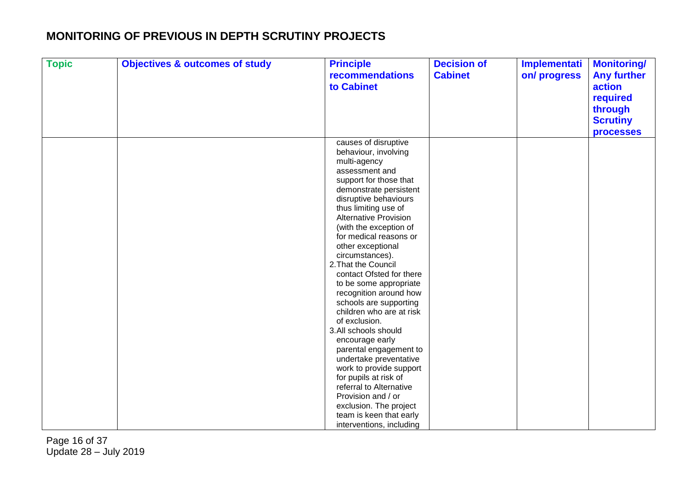| <b>Topic</b> | <b>Objectives &amp; outcomes of study</b> | <b>Principle</b><br>recommendations              | <b>Decision of</b><br><b>Cabinet</b> | Implementati | <b>Monitoring/</b>           |
|--------------|-------------------------------------------|--------------------------------------------------|--------------------------------------|--------------|------------------------------|
|              |                                           | to Cabinet                                       |                                      | on/progress  | <b>Any further</b><br>action |
|              |                                           |                                                  |                                      |              |                              |
|              |                                           |                                                  |                                      |              | required                     |
|              |                                           |                                                  |                                      |              | through                      |
|              |                                           |                                                  |                                      |              | <b>Scrutiny</b>              |
|              |                                           |                                                  |                                      |              | processes                    |
|              |                                           | causes of disruptive                             |                                      |              |                              |
|              |                                           | behaviour, involving                             |                                      |              |                              |
|              |                                           | multi-agency                                     |                                      |              |                              |
|              |                                           | assessment and                                   |                                      |              |                              |
|              |                                           | support for those that                           |                                      |              |                              |
|              |                                           | demonstrate persistent                           |                                      |              |                              |
|              |                                           | disruptive behaviours                            |                                      |              |                              |
|              |                                           | thus limiting use of                             |                                      |              |                              |
|              |                                           | <b>Alternative Provision</b>                     |                                      |              |                              |
|              |                                           | (with the exception of<br>for medical reasons or |                                      |              |                              |
|              |                                           | other exceptional                                |                                      |              |                              |
|              |                                           | circumstances).                                  |                                      |              |                              |
|              |                                           | 2. That the Council                              |                                      |              |                              |
|              |                                           | contact Ofsted for there                         |                                      |              |                              |
|              |                                           | to be some appropriate                           |                                      |              |                              |
|              |                                           | recognition around how                           |                                      |              |                              |
|              |                                           | schools are supporting                           |                                      |              |                              |
|              |                                           | children who are at risk                         |                                      |              |                              |
|              |                                           | of exclusion.                                    |                                      |              |                              |
|              |                                           | 3.All schools should                             |                                      |              |                              |
|              |                                           | encourage early                                  |                                      |              |                              |
|              |                                           | parental engagement to                           |                                      |              |                              |
|              |                                           | undertake preventative                           |                                      |              |                              |
|              |                                           | work to provide support                          |                                      |              |                              |
|              |                                           | for pupils at risk of                            |                                      |              |                              |
|              |                                           | referral to Alternative                          |                                      |              |                              |
|              |                                           | Provision and / or                               |                                      |              |                              |
|              |                                           | exclusion. The project                           |                                      |              |                              |
|              |                                           | team is keen that early                          |                                      |              |                              |
|              |                                           | interventions, including                         |                                      |              |                              |

Page 16 of 37 Update 28 – July 2019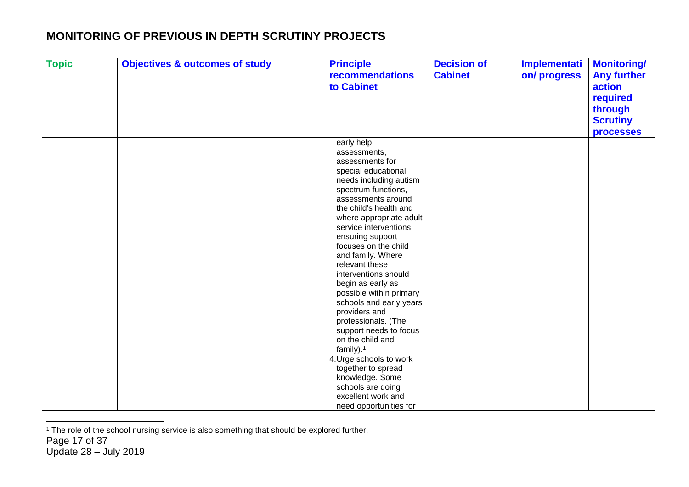| <b>Topic</b> | <b>Objectives &amp; outcomes of study</b> | <b>Principle</b><br>recommendations<br>to Cabinet                                                                                                                                                                                                                                                                                                                                                                                                                                                                                                                                                               | <b>Decision of</b><br><b>Cabinet</b> | <b>Implementati</b><br>on/progress | <b>Monitoring/</b><br><b>Any further</b><br>action<br>required<br>through<br><b>Scrutiny</b> |
|--------------|-------------------------------------------|-----------------------------------------------------------------------------------------------------------------------------------------------------------------------------------------------------------------------------------------------------------------------------------------------------------------------------------------------------------------------------------------------------------------------------------------------------------------------------------------------------------------------------------------------------------------------------------------------------------------|--------------------------------------|------------------------------------|----------------------------------------------------------------------------------------------|
|              |                                           | early help<br>assessments,<br>assessments for<br>special educational<br>needs including autism<br>spectrum functions,<br>assessments around<br>the child's health and<br>where appropriate adult<br>service interventions,<br>ensuring support<br>focuses on the child<br>and family. Where<br>relevant these<br>interventions should<br>begin as early as<br>possible within primary<br>schools and early years<br>providers and<br>professionals. (The<br>support needs to focus<br>on the child and<br>family). $1$<br>4. Urge schools to work<br>together to spread<br>knowledge. Some<br>schools are doing |                                      |                                    | <b>processes</b>                                                                             |
|              |                                           | excellent work and<br>need opportunities for                                                                                                                                                                                                                                                                                                                                                                                                                                                                                                                                                                    |                                      |                                    |                                                                                              |

<sup>&</sup>lt;sup>1</sup> The role of the school nursing service is also something that should be explored further.

 $\overline{a}$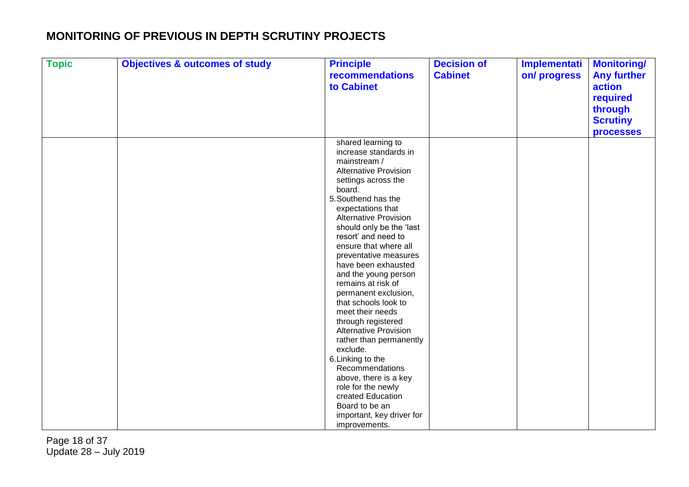| <b>Topic</b> | <b>Objectives &amp; outcomes of study</b> | <b>Principle</b><br>recommendations      | <b>Decision of</b><br><b>Cabinet</b> | Implementati<br>on/progress | <b>Monitoring/</b><br><b>Any further</b> |
|--------------|-------------------------------------------|------------------------------------------|--------------------------------------|-----------------------------|------------------------------------------|
|              |                                           | to Cabinet                               |                                      |                             | action                                   |
|              |                                           |                                          |                                      |                             | required                                 |
|              |                                           |                                          |                                      |                             | through                                  |
|              |                                           |                                          |                                      |                             | <b>Scrutiny</b>                          |
|              |                                           |                                          |                                      |                             | <b>processes</b>                         |
|              |                                           | shared learning to                       |                                      |                             |                                          |
|              |                                           | increase standards in                    |                                      |                             |                                          |
|              |                                           | mainstream /                             |                                      |                             |                                          |
|              |                                           | <b>Alternative Provision</b>             |                                      |                             |                                          |
|              |                                           | settings across the                      |                                      |                             |                                          |
|              |                                           | board.                                   |                                      |                             |                                          |
|              |                                           | 5. Southend has the                      |                                      |                             |                                          |
|              |                                           | expectations that                        |                                      |                             |                                          |
|              |                                           | <b>Alternative Provision</b>             |                                      |                             |                                          |
|              |                                           | should only be the 'last                 |                                      |                             |                                          |
|              |                                           | resort' and need to                      |                                      |                             |                                          |
|              |                                           | ensure that where all                    |                                      |                             |                                          |
|              |                                           | preventative measures                    |                                      |                             |                                          |
|              |                                           | have been exhausted                      |                                      |                             |                                          |
|              |                                           | and the young person                     |                                      |                             |                                          |
|              |                                           | remains at risk of                       |                                      |                             |                                          |
|              |                                           | permanent exclusion,                     |                                      |                             |                                          |
|              |                                           | that schools look to<br>meet their needs |                                      |                             |                                          |
|              |                                           | through registered                       |                                      |                             |                                          |
|              |                                           | <b>Alternative Provision</b>             |                                      |                             |                                          |
|              |                                           | rather than permanently                  |                                      |                             |                                          |
|              |                                           | exclude.                                 |                                      |                             |                                          |
|              |                                           | 6. Linking to the                        |                                      |                             |                                          |
|              |                                           | Recommendations                          |                                      |                             |                                          |
|              |                                           | above, there is a key                    |                                      |                             |                                          |
|              |                                           | role for the newly                       |                                      |                             |                                          |
|              |                                           | created Education                        |                                      |                             |                                          |
|              |                                           | Board to be an                           |                                      |                             |                                          |
|              |                                           | important, key driver for                |                                      |                             |                                          |
|              |                                           | improvements.                            |                                      |                             |                                          |

Page 18 of 37 Update 28 – July 2019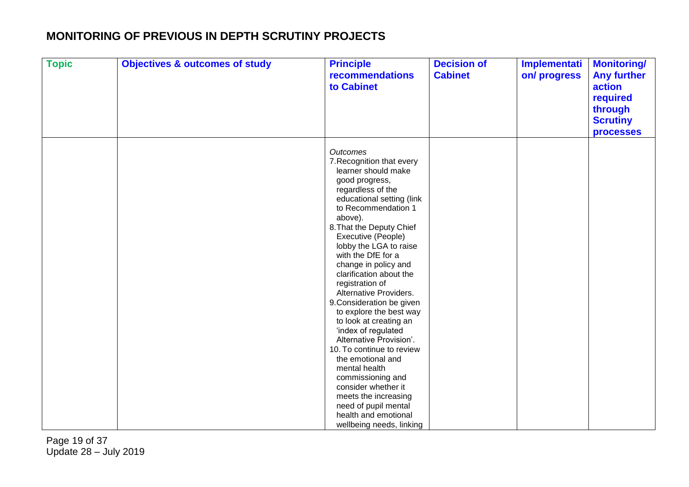| <b>Topic</b> | <b>Objectives &amp; outcomes of study</b> | <b>Principle</b><br>recommendations<br>to Cabinet                                                                                                                                                                                                                                                                                                                                                                                                                                                                                                                                                                                                                                                                                  | <b>Decision of</b><br><b>Cabinet</b> | Implementati<br>on/progress | <b>Monitoring/</b><br><b>Any further</b><br>action<br>required<br>through<br><b>Scrutiny</b><br><b>processes</b> |
|--------------|-------------------------------------------|------------------------------------------------------------------------------------------------------------------------------------------------------------------------------------------------------------------------------------------------------------------------------------------------------------------------------------------------------------------------------------------------------------------------------------------------------------------------------------------------------------------------------------------------------------------------------------------------------------------------------------------------------------------------------------------------------------------------------------|--------------------------------------|-----------------------------|------------------------------------------------------------------------------------------------------------------|
|              |                                           | <b>Outcomes</b><br>7. Recognition that every<br>learner should make<br>good progress,<br>regardless of the<br>educational setting (link<br>to Recommendation 1<br>above).<br>8. That the Deputy Chief<br>Executive (People)<br>lobby the LGA to raise<br>with the DfE for a<br>change in policy and<br>clarification about the<br>registration of<br>Alternative Providers.<br>9. Consideration be given<br>to explore the best way<br>to look at creating an<br>'index of regulated<br>Alternative Provision'.<br>10. To continue to review<br>the emotional and<br>mental health<br>commissioning and<br>consider whether it<br>meets the increasing<br>need of pupil mental<br>health and emotional<br>wellbeing needs, linking |                                      |                             |                                                                                                                  |

Page 19 of 37 Update 28 – July 2019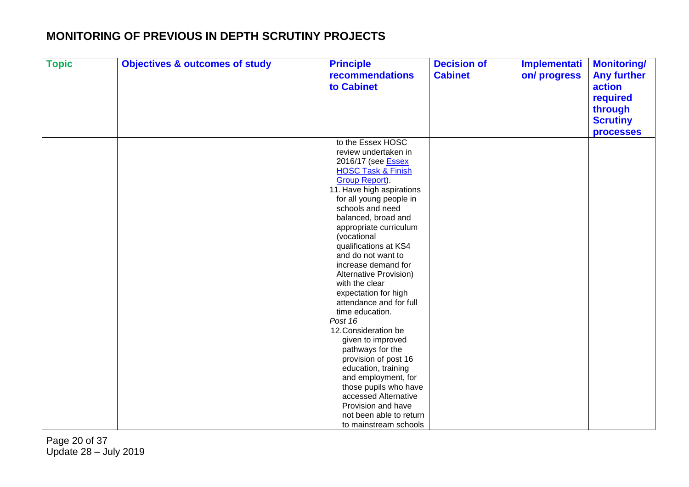| <b>Topic</b> | <b>Objectives &amp; outcomes of study</b> | <b>Principle</b><br>recommendations                        | <b>Decision of</b><br><b>Cabinet</b> | Implementati<br>on/progress | <b>Monitoring/</b><br><b>Any further</b> |
|--------------|-------------------------------------------|------------------------------------------------------------|--------------------------------------|-----------------------------|------------------------------------------|
|              |                                           | to Cabinet                                                 |                                      |                             | action                                   |
|              |                                           |                                                            |                                      |                             | required                                 |
|              |                                           |                                                            |                                      |                             | through                                  |
|              |                                           |                                                            |                                      |                             |                                          |
|              |                                           |                                                            |                                      |                             | <b>Scrutiny</b>                          |
|              |                                           |                                                            |                                      |                             | <b>processes</b>                         |
|              |                                           | to the Essex HOSC                                          |                                      |                             |                                          |
|              |                                           | review undertaken in                                       |                                      |                             |                                          |
|              |                                           | 2016/17 (see <b>Essex</b><br><b>HOSC Task &amp; Finish</b> |                                      |                             |                                          |
|              |                                           | <b>Group Report)</b> .                                     |                                      |                             |                                          |
|              |                                           | 11. Have high aspirations                                  |                                      |                             |                                          |
|              |                                           | for all young people in                                    |                                      |                             |                                          |
|              |                                           | schools and need                                           |                                      |                             |                                          |
|              |                                           | balanced, broad and                                        |                                      |                             |                                          |
|              |                                           | appropriate curriculum                                     |                                      |                             |                                          |
|              |                                           | (vocational                                                |                                      |                             |                                          |
|              |                                           | qualifications at KS4                                      |                                      |                             |                                          |
|              |                                           | and do not want to                                         |                                      |                             |                                          |
|              |                                           | increase demand for<br>Alternative Provision)              |                                      |                             |                                          |
|              |                                           | with the clear                                             |                                      |                             |                                          |
|              |                                           | expectation for high                                       |                                      |                             |                                          |
|              |                                           | attendance and for full                                    |                                      |                             |                                          |
|              |                                           | time education.                                            |                                      |                             |                                          |
|              |                                           | Post 16                                                    |                                      |                             |                                          |
|              |                                           | 12. Consideration be                                       |                                      |                             |                                          |
|              |                                           | given to improved                                          |                                      |                             |                                          |
|              |                                           | pathways for the                                           |                                      |                             |                                          |
|              |                                           | provision of post 16                                       |                                      |                             |                                          |
|              |                                           | education, training                                        |                                      |                             |                                          |
|              |                                           | and employment, for                                        |                                      |                             |                                          |
|              |                                           | those pupils who have<br>accessed Alternative              |                                      |                             |                                          |
|              |                                           | Provision and have                                         |                                      |                             |                                          |
|              |                                           | not been able to return                                    |                                      |                             |                                          |
|              |                                           | to mainstream schools                                      |                                      |                             |                                          |

Page 20 of 37 Update 28 – July 2019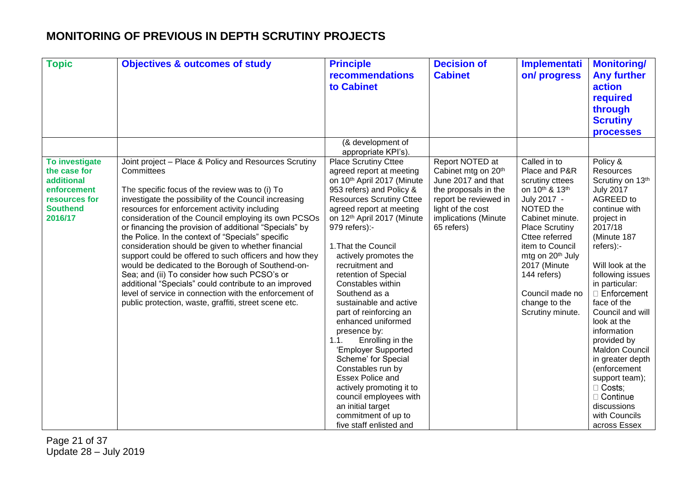| <b>Topic</b>                                                                                               | <b>Objectives &amp; outcomes of study</b>                                                                                                                                                                                                                                                                                                                                                                                                                                                                                                                                                                                                                                                                                                                                                              | <b>Principle</b><br><b>recommendations</b><br>to Cabinet                                                                                                                                                                                                                                                                                                                                                                                                                                                                                                                                                                                                                                                          | <b>Decision of</b><br><b>Cabinet</b>                                                                                                                                     | Implementati<br>on/progress                                                                                                                                                                                                                                                                            | <b>Monitoring/</b><br><b>Any further</b><br>action<br>required<br>through<br><b>Scrutiny</b><br><b>processes</b>                                                                                                                                                                                                                                                                                                                                            |
|------------------------------------------------------------------------------------------------------------|--------------------------------------------------------------------------------------------------------------------------------------------------------------------------------------------------------------------------------------------------------------------------------------------------------------------------------------------------------------------------------------------------------------------------------------------------------------------------------------------------------------------------------------------------------------------------------------------------------------------------------------------------------------------------------------------------------------------------------------------------------------------------------------------------------|-------------------------------------------------------------------------------------------------------------------------------------------------------------------------------------------------------------------------------------------------------------------------------------------------------------------------------------------------------------------------------------------------------------------------------------------------------------------------------------------------------------------------------------------------------------------------------------------------------------------------------------------------------------------------------------------------------------------|--------------------------------------------------------------------------------------------------------------------------------------------------------------------------|--------------------------------------------------------------------------------------------------------------------------------------------------------------------------------------------------------------------------------------------------------------------------------------------------------|-------------------------------------------------------------------------------------------------------------------------------------------------------------------------------------------------------------------------------------------------------------------------------------------------------------------------------------------------------------------------------------------------------------------------------------------------------------|
|                                                                                                            |                                                                                                                                                                                                                                                                                                                                                                                                                                                                                                                                                                                                                                                                                                                                                                                                        | (& development of<br>appropriate KPI's).                                                                                                                                                                                                                                                                                                                                                                                                                                                                                                                                                                                                                                                                          |                                                                                                                                                                          |                                                                                                                                                                                                                                                                                                        |                                                                                                                                                                                                                                                                                                                                                                                                                                                             |
| To investigate<br>the case for<br>additional<br>enforcement<br>resources for<br><b>Southend</b><br>2016/17 | Joint project - Place & Policy and Resources Scrutiny<br>Committees<br>The specific focus of the review was to (i) To<br>investigate the possibility of the Council increasing<br>resources for enforcement activity including<br>consideration of the Council employing its own PCSOs<br>or financing the provision of additional "Specials" by<br>the Police. In the context of "Specials" specific<br>consideration should be given to whether financial<br>support could be offered to such officers and how they<br>would be dedicated to the Borough of Southend-on-<br>Sea; and (ii) To consider how such PCSO's or<br>additional "Specials" could contribute to an improved<br>level of service in connection with the enforcement of<br>public protection, waste, graffiti, street scene etc. | <b>Place Scrutiny Cttee</b><br>agreed report at meeting<br>on 10th April 2017 (Minute<br>953 refers) and Policy &<br><b>Resources Scrutiny Cttee</b><br>agreed report at meeting<br>on 12th April 2017 (Minute<br>979 refers):-<br>1. That the Council<br>actively promotes the<br>recruitment and<br>retention of Special<br>Constables within<br>Southend as a<br>sustainable and active<br>part of reinforcing an<br>enhanced uniformed<br>presence by:<br>1.1.<br>Enrolling in the<br>'Employer Supported<br>Scheme' for Special<br>Constables run by<br><b>Essex Police and</b><br>actively promoting it to<br>council employees with<br>an initial target<br>commitment of up to<br>five staff enlisted and | Report NOTED at<br>Cabinet mtg on 20th<br>June 2017 and that<br>the proposals in the<br>report be reviewed in<br>light of the cost<br>implications (Minute<br>65 refers) | Called in to<br>Place and P&R<br>scrutiny cttees<br>on 10th & 13th<br>July 2017 -<br>NOTED the<br>Cabinet minute.<br><b>Place Scrutiny</b><br>Cttee referred<br>item to Council<br>mtg on 20 <sup>th</sup> July<br>2017 (Minute<br>144 refers)<br>Council made no<br>change to the<br>Scrutiny minute. | Policy &<br>Resources<br>Scrutiny on 13th<br><b>July 2017</b><br>AGREED to<br>continue with<br>project in<br>2017/18<br>(Minute 187<br>refers):-<br>Will look at the<br>following issues<br>in particular:<br>Enforcement<br>face of the<br>Council and will<br>look at the<br>information<br>provided by<br>Maldon Council<br>in greater depth<br>(enforcement<br>support team);<br>□ Costs;<br>□ Continue<br>discussions<br>with Councils<br>across Essex |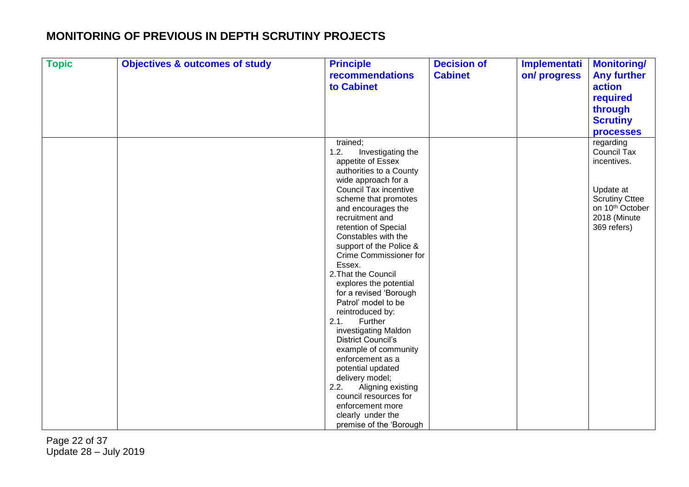| <b>Topic</b> | <b>Objectives &amp; outcomes of study</b> | <b>Principle</b><br>recommendations | <b>Decision of</b><br><b>Cabinet</b> | Implementati<br>on/progress | <b>Monitoring/</b><br><b>Any further</b> |
|--------------|-------------------------------------------|-------------------------------------|--------------------------------------|-----------------------------|------------------------------------------|
|              |                                           | to Cabinet                          |                                      |                             | action                                   |
|              |                                           |                                     |                                      |                             | required                                 |
|              |                                           |                                     |                                      |                             | through                                  |
|              |                                           |                                     |                                      |                             | <b>Scrutiny</b>                          |
|              |                                           |                                     |                                      |                             |                                          |
|              |                                           | trained;                            |                                      |                             | <b>processes</b>                         |
|              |                                           | 1.2.<br>Investigating the           |                                      |                             | regarding<br><b>Council Tax</b>          |
|              |                                           | appetite of Essex                   |                                      |                             | incentives.                              |
|              |                                           | authorities to a County             |                                      |                             |                                          |
|              |                                           | wide approach for a                 |                                      |                             |                                          |
|              |                                           | <b>Council Tax incentive</b>        |                                      |                             | Update at                                |
|              |                                           | scheme that promotes                |                                      |                             | <b>Scrutiny Cttee</b>                    |
|              |                                           | and encourages the                  |                                      |                             | on 10 <sup>th</sup> October              |
|              |                                           | recruitment and                     |                                      |                             | 2018 (Minute                             |
|              |                                           | retention of Special                |                                      |                             | 369 refers)                              |
|              |                                           | Constables with the                 |                                      |                             |                                          |
|              |                                           | support of the Police &             |                                      |                             |                                          |
|              |                                           | Crime Commissioner for              |                                      |                             |                                          |
|              |                                           | Essex.<br>2. That the Council       |                                      |                             |                                          |
|              |                                           | explores the potential              |                                      |                             |                                          |
|              |                                           | for a revised 'Borough              |                                      |                             |                                          |
|              |                                           | Patrol' model to be                 |                                      |                             |                                          |
|              |                                           | reintroduced by:                    |                                      |                             |                                          |
|              |                                           | 2.1.<br>Further                     |                                      |                             |                                          |
|              |                                           | investigating Maldon                |                                      |                             |                                          |
|              |                                           | <b>District Council's</b>           |                                      |                             |                                          |
|              |                                           | example of community                |                                      |                             |                                          |
|              |                                           | enforcement as a                    |                                      |                             |                                          |
|              |                                           | potential updated                   |                                      |                             |                                          |
|              |                                           | delivery model;                     |                                      |                             |                                          |
|              |                                           | Aligning existing<br>2.2.           |                                      |                             |                                          |
|              |                                           | council resources for               |                                      |                             |                                          |
|              |                                           | enforcement more                    |                                      |                             |                                          |
|              |                                           | clearly under the                   |                                      |                             |                                          |
|              |                                           | premise of the 'Borough             |                                      |                             |                                          |

Page 22 of 37 Update 28 – July 2019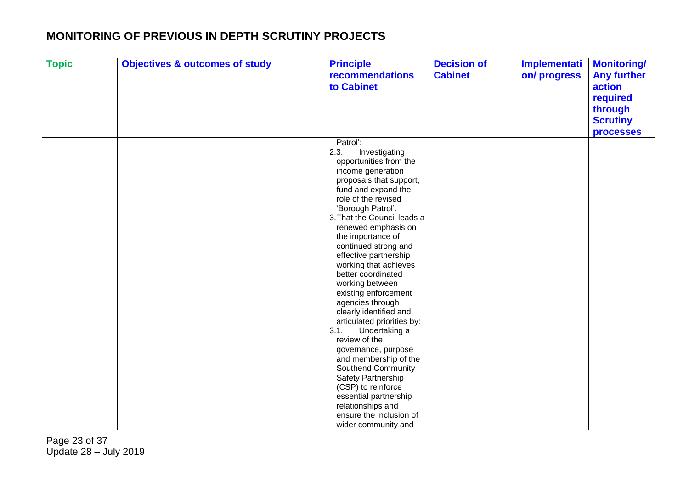| <b>Topic</b> | <b>Objectives &amp; outcomes of study</b> | <b>Principle</b><br>recommendations<br>to Cabinet                                                                                                                                                                                                                                                                                                                                                                                                                                | <b>Decision of</b><br><b>Cabinet</b> | Implementati<br>on/progress | <b>Monitoring/</b><br><b>Any further</b><br>action |
|--------------|-------------------------------------------|----------------------------------------------------------------------------------------------------------------------------------------------------------------------------------------------------------------------------------------------------------------------------------------------------------------------------------------------------------------------------------------------------------------------------------------------------------------------------------|--------------------------------------|-----------------------------|----------------------------------------------------|
|              |                                           |                                                                                                                                                                                                                                                                                                                                                                                                                                                                                  |                                      |                             | required<br>through                                |
|              |                                           |                                                                                                                                                                                                                                                                                                                                                                                                                                                                                  |                                      |                             | <b>Scrutiny</b>                                    |
|              |                                           |                                                                                                                                                                                                                                                                                                                                                                                                                                                                                  |                                      |                             | <b>processes</b>                                   |
|              |                                           | Patrol';<br>2.3.<br>Investigating<br>opportunities from the<br>income generation<br>proposals that support,<br>fund and expand the<br>role of the revised<br>'Borough Patrol'.<br>3. That the Council leads a<br>renewed emphasis on<br>the importance of<br>continued strong and<br>effective partnership<br>working that achieves<br>better coordinated<br>working between<br>existing enforcement<br>agencies through<br>clearly identified and<br>articulated priorities by: |                                      |                             |                                                    |
|              |                                           | 3.1.<br>Undertaking a                                                                                                                                                                                                                                                                                                                                                                                                                                                            |                                      |                             |                                                    |
|              |                                           | review of the<br>governance, purpose                                                                                                                                                                                                                                                                                                                                                                                                                                             |                                      |                             |                                                    |
|              |                                           | and membership of the                                                                                                                                                                                                                                                                                                                                                                                                                                                            |                                      |                             |                                                    |
|              |                                           | <b>Southend Community</b>                                                                                                                                                                                                                                                                                                                                                                                                                                                        |                                      |                             |                                                    |
|              |                                           | Safety Partnership                                                                                                                                                                                                                                                                                                                                                                                                                                                               |                                      |                             |                                                    |
|              |                                           | (CSP) to reinforce                                                                                                                                                                                                                                                                                                                                                                                                                                                               |                                      |                             |                                                    |
|              |                                           | essential partnership<br>relationships and                                                                                                                                                                                                                                                                                                                                                                                                                                       |                                      |                             |                                                    |
|              |                                           | ensure the inclusion of                                                                                                                                                                                                                                                                                                                                                                                                                                                          |                                      |                             |                                                    |
|              |                                           | wider community and                                                                                                                                                                                                                                                                                                                                                                                                                                                              |                                      |                             |                                                    |

Page 23 of 37 Update 28 – July 2019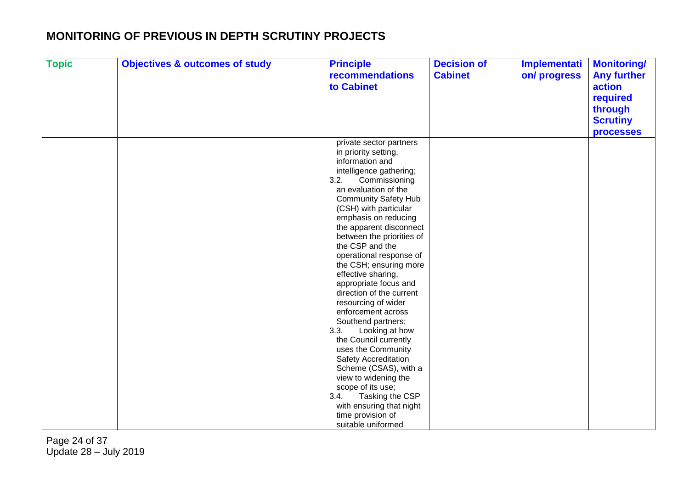| <b>Topic</b> | <b>Objectives &amp; outcomes of study</b> | <b>Principle</b><br>recommendations<br>to Cabinet | <b>Decision of</b><br><b>Cabinet</b> | Implementati<br>on/progress | <b>Monitoring/</b><br><b>Any further</b><br>action |
|--------------|-------------------------------------------|---------------------------------------------------|--------------------------------------|-----------------------------|----------------------------------------------------|
|              |                                           |                                                   |                                      |                             | required                                           |
|              |                                           |                                                   |                                      |                             | through                                            |
|              |                                           |                                                   |                                      |                             | <b>Scrutiny</b>                                    |
|              |                                           |                                                   |                                      |                             | <b>processes</b>                                   |
|              |                                           | private sector partners                           |                                      |                             |                                                    |
|              |                                           | in priority setting,                              |                                      |                             |                                                    |
|              |                                           | information and                                   |                                      |                             |                                                    |
|              |                                           | intelligence gathering;                           |                                      |                             |                                                    |
|              |                                           | 3.2.<br>Commissioning<br>an evaluation of the     |                                      |                             |                                                    |
|              |                                           | <b>Community Safety Hub</b>                       |                                      |                             |                                                    |
|              |                                           | (CSH) with particular                             |                                      |                             |                                                    |
|              |                                           | emphasis on reducing                              |                                      |                             |                                                    |
|              |                                           | the apparent disconnect                           |                                      |                             |                                                    |
|              |                                           | between the priorities of                         |                                      |                             |                                                    |
|              |                                           | the CSP and the                                   |                                      |                             |                                                    |
|              |                                           | operational response of                           |                                      |                             |                                                    |
|              |                                           | the CSH; ensuring more                            |                                      |                             |                                                    |
|              |                                           | effective sharing,                                |                                      |                             |                                                    |
|              |                                           | appropriate focus and                             |                                      |                             |                                                    |
|              |                                           | direction of the current                          |                                      |                             |                                                    |
|              |                                           | resourcing of wider                               |                                      |                             |                                                    |
|              |                                           | enforcement across                                |                                      |                             |                                                    |
|              |                                           | Southend partners;                                |                                      |                             |                                                    |
|              |                                           | 3.3.<br>Looking at how<br>the Council currently   |                                      |                             |                                                    |
|              |                                           | uses the Community                                |                                      |                             |                                                    |
|              |                                           | <b>Safety Accreditation</b>                       |                                      |                             |                                                    |
|              |                                           | Scheme (CSAS), with a                             |                                      |                             |                                                    |
|              |                                           | view to widening the                              |                                      |                             |                                                    |
|              |                                           | scope of its use;                                 |                                      |                             |                                                    |
|              |                                           | 3.4.<br>Tasking the CSP                           |                                      |                             |                                                    |
|              |                                           | with ensuring that night                          |                                      |                             |                                                    |
|              |                                           | time provision of                                 |                                      |                             |                                                    |
|              |                                           | suitable uniformed                                |                                      |                             |                                                    |

Page 24 of 37 Update 28 – July 2019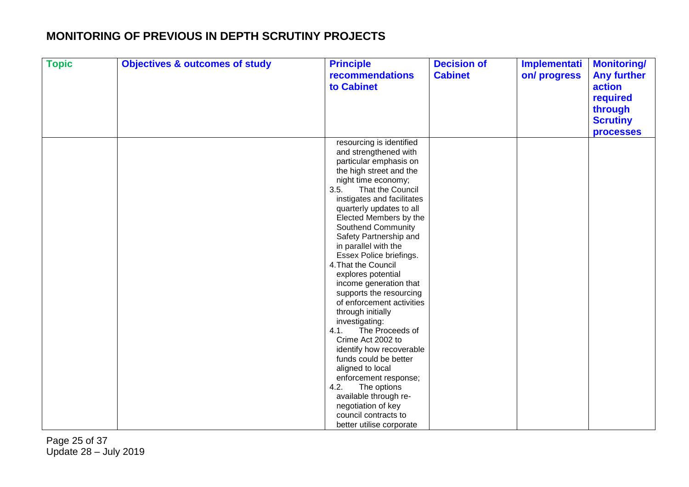| <b>Topic</b> | <b>Objectives &amp; outcomes of study</b> | <b>Principle</b>                                | <b>Decision of</b> | Implementati | <b>Monitoring/</b> |
|--------------|-------------------------------------------|-------------------------------------------------|--------------------|--------------|--------------------|
|              |                                           | recommendations                                 | <b>Cabinet</b>     | on/progress  | <b>Any further</b> |
|              |                                           | to Cabinet                                      |                    |              | action             |
|              |                                           |                                                 |                    |              | required           |
|              |                                           |                                                 |                    |              | through            |
|              |                                           |                                                 |                    |              | <b>Scrutiny</b>    |
|              |                                           |                                                 |                    |              |                    |
|              |                                           |                                                 |                    |              | <b>processes</b>   |
|              |                                           | resourcing is identified                        |                    |              |                    |
|              |                                           | and strengthened with                           |                    |              |                    |
|              |                                           | particular emphasis on                          |                    |              |                    |
|              |                                           | the high street and the                         |                    |              |                    |
|              |                                           | night time economy;<br>3.5.<br>That the Council |                    |              |                    |
|              |                                           | instigates and facilitates                      |                    |              |                    |
|              |                                           | quarterly updates to all                        |                    |              |                    |
|              |                                           | Elected Members by the                          |                    |              |                    |
|              |                                           | <b>Southend Community</b>                       |                    |              |                    |
|              |                                           | Safety Partnership and                          |                    |              |                    |
|              |                                           | in parallel with the                            |                    |              |                    |
|              |                                           | Essex Police briefings.                         |                    |              |                    |
|              |                                           | 4. That the Council                             |                    |              |                    |
|              |                                           | explores potential                              |                    |              |                    |
|              |                                           | income generation that                          |                    |              |                    |
|              |                                           | supports the resourcing                         |                    |              |                    |
|              |                                           | of enforcement activities                       |                    |              |                    |
|              |                                           | through initially                               |                    |              |                    |
|              |                                           | investigating:                                  |                    |              |                    |
|              |                                           | 4.1.<br>The Proceeds of                         |                    |              |                    |
|              |                                           | Crime Act 2002 to                               |                    |              |                    |
|              |                                           | identify how recoverable                        |                    |              |                    |
|              |                                           | funds could be better                           |                    |              |                    |
|              |                                           | aligned to local                                |                    |              |                    |
|              |                                           | enforcement response;                           |                    |              |                    |
|              |                                           | 4.2.<br>The options                             |                    |              |                    |
|              |                                           | available through re-                           |                    |              |                    |
|              |                                           | negotiation of key                              |                    |              |                    |
|              |                                           | council contracts to                            |                    |              |                    |
|              |                                           | better utilise corporate                        |                    |              |                    |

Page 25 of 37 Update 28 – July 2019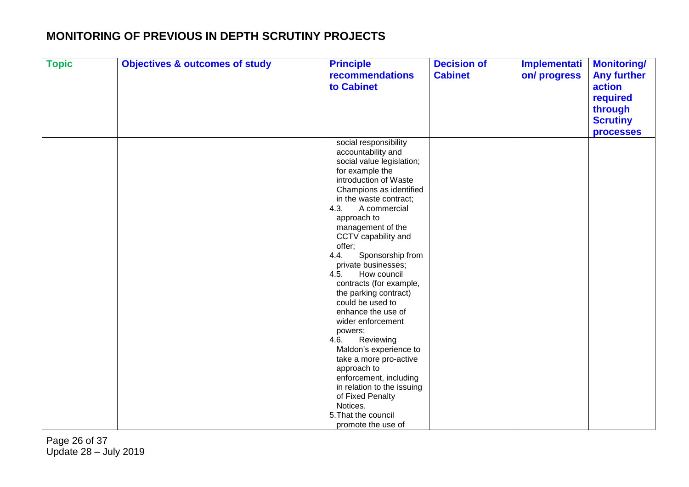| <b>Topic</b> | <b>Objectives &amp; outcomes of study</b> | <b>Principle</b><br>recommendations<br>to Cabinet                                                                                                                                                                                                                                                                                                                                                                                                                                                                                                                                                                                                                                                           | <b>Decision of</b><br><b>Cabinet</b> | Implementati<br>on/progress | <b>Monitoring/</b><br><b>Any further</b><br>action<br>required |
|--------------|-------------------------------------------|-------------------------------------------------------------------------------------------------------------------------------------------------------------------------------------------------------------------------------------------------------------------------------------------------------------------------------------------------------------------------------------------------------------------------------------------------------------------------------------------------------------------------------------------------------------------------------------------------------------------------------------------------------------------------------------------------------------|--------------------------------------|-----------------------------|----------------------------------------------------------------|
|              |                                           |                                                                                                                                                                                                                                                                                                                                                                                                                                                                                                                                                                                                                                                                                                             |                                      |                             | through<br><b>Scrutiny</b><br><b>processes</b>                 |
|              |                                           | social responsibility<br>accountability and<br>social value legislation;<br>for example the<br>introduction of Waste<br>Champions as identified<br>in the waste contract;<br>4.3.<br>A commercial<br>approach to<br>management of the<br>CCTV capability and<br>offer;<br>4.4.<br>Sponsorship from<br>private businesses;<br>4.5.<br>How council<br>contracts (for example,<br>the parking contract)<br>could be used to<br>enhance the use of<br>wider enforcement<br>powers;<br>4.6.<br>Reviewing<br>Maldon's experience to<br>take a more pro-active<br>approach to<br>enforcement, including<br>in relation to the issuing<br>of Fixed Penalty<br>Notices.<br>5. That the council<br>promote the use of |                                      |                             |                                                                |

Page 26 of 37 Update 28 – July 2019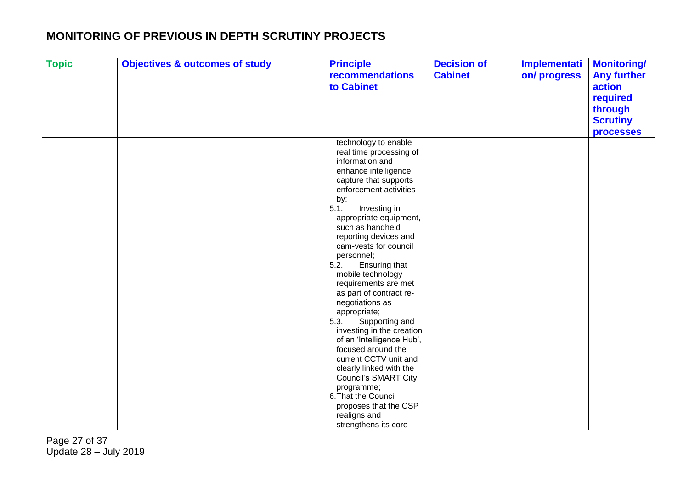| <b>Topic</b> | <b>Objectives &amp; outcomes of study</b> | <b>Principle</b><br>recommendations<br>to Cabinet                                                                                                                                                                                                                                                                                                                                                                                                                                                                                                                                                                                                                                                                                 | <b>Decision of</b><br><b>Cabinet</b> | Implementati<br>on/progress | <b>Monitoring/</b><br><b>Any further</b><br>action |
|--------------|-------------------------------------------|-----------------------------------------------------------------------------------------------------------------------------------------------------------------------------------------------------------------------------------------------------------------------------------------------------------------------------------------------------------------------------------------------------------------------------------------------------------------------------------------------------------------------------------------------------------------------------------------------------------------------------------------------------------------------------------------------------------------------------------|--------------------------------------|-----------------------------|----------------------------------------------------|
|              |                                           |                                                                                                                                                                                                                                                                                                                                                                                                                                                                                                                                                                                                                                                                                                                                   |                                      |                             | required<br>through<br><b>Scrutiny</b>             |
|              |                                           | technology to enable<br>real time processing of<br>information and<br>enhance intelligence<br>capture that supports<br>enforcement activities<br>by:<br>5.1.<br>Investing in<br>appropriate equipment,<br>such as handheld<br>reporting devices and<br>cam-vests for council<br>personnel;<br>5.2.<br>Ensuring that<br>mobile technology<br>requirements are met<br>as part of contract re-<br>negotiations as<br>appropriate;<br>5.3.<br>Supporting and<br>investing in the creation<br>of an 'Intelligence Hub',<br>focused around the<br>current CCTV unit and<br>clearly linked with the<br><b>Council's SMART City</b><br>programme;<br>6. That the Council<br>proposes that the CSP<br>realigns and<br>strengthens its core |                                      |                             | <b>processes</b>                                   |

Page 27 of 37 Update 28 – July 2019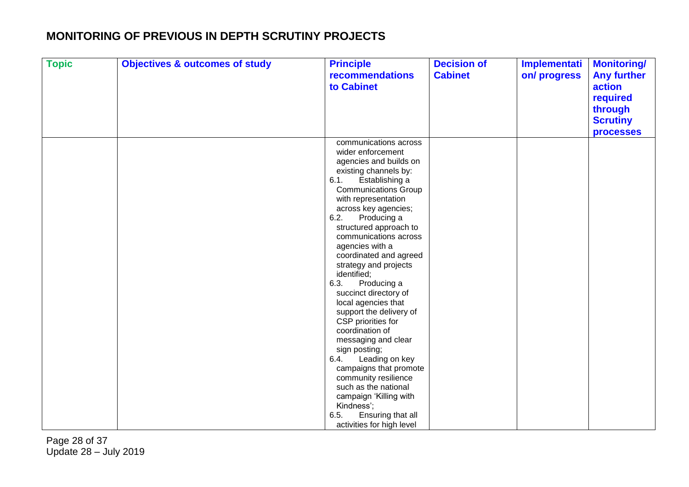| <b>Topic</b> | <b>Objectives &amp; outcomes of study</b> | <b>Principle</b><br>recommendations             | <b>Decision of</b><br><b>Cabinet</b> | Implementati<br>on/progress | <b>Monitoring/</b><br><b>Any further</b> |
|--------------|-------------------------------------------|-------------------------------------------------|--------------------------------------|-----------------------------|------------------------------------------|
|              |                                           | to Cabinet                                      |                                      |                             | action<br>required                       |
|              |                                           |                                                 |                                      |                             | through                                  |
|              |                                           |                                                 |                                      |                             | <b>Scrutiny</b>                          |
|              |                                           |                                                 |                                      |                             | <b>processes</b>                         |
|              |                                           | communications across                           |                                      |                             |                                          |
|              |                                           | wider enforcement<br>agencies and builds on     |                                      |                             |                                          |
|              |                                           | existing channels by:                           |                                      |                             |                                          |
|              |                                           | 6.1.<br>Establishing a                          |                                      |                             |                                          |
|              |                                           | <b>Communications Group</b>                     |                                      |                             |                                          |
|              |                                           | with representation                             |                                      |                             |                                          |
|              |                                           | across key agencies;                            |                                      |                             |                                          |
|              |                                           | 6.2.<br>Producing a                             |                                      |                             |                                          |
|              |                                           | structured approach to<br>communications across |                                      |                             |                                          |
|              |                                           | agencies with a                                 |                                      |                             |                                          |
|              |                                           | coordinated and agreed                          |                                      |                             |                                          |
|              |                                           | strategy and projects                           |                                      |                             |                                          |
|              |                                           | identified;                                     |                                      |                             |                                          |
|              |                                           | 6.3.<br>Producing a                             |                                      |                             |                                          |
|              |                                           | succinct directory of                           |                                      |                             |                                          |
|              |                                           | local agencies that<br>support the delivery of  |                                      |                             |                                          |
|              |                                           | CSP priorities for                              |                                      |                             |                                          |
|              |                                           | coordination of                                 |                                      |                             |                                          |
|              |                                           | messaging and clear                             |                                      |                             |                                          |
|              |                                           | sign posting;                                   |                                      |                             |                                          |
|              |                                           | 6.4.<br>Leading on key                          |                                      |                             |                                          |
|              |                                           | campaigns that promote                          |                                      |                             |                                          |
|              |                                           | community resilience<br>such as the national    |                                      |                             |                                          |
|              |                                           | campaign 'Killing with                          |                                      |                             |                                          |
|              |                                           | Kindness';                                      |                                      |                             |                                          |
|              |                                           | 6.5.<br>Ensuring that all                       |                                      |                             |                                          |
|              |                                           | activities for high level                       |                                      |                             |                                          |

Page 28 of 37 Update 28 – July 2019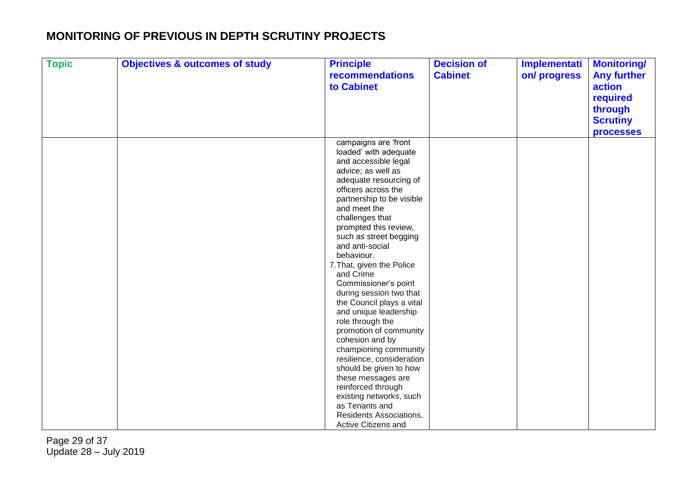| <b>Topic</b> | <b>Objectives &amp; outcomes of study</b> | <b>Principle</b><br>recommendations              | <b>Decision of</b><br><b>Cabinet</b> | Implementati<br>on/progress | <b>Monitoring/</b><br><b>Any further</b> |
|--------------|-------------------------------------------|--------------------------------------------------|--------------------------------------|-----------------------------|------------------------------------------|
|              |                                           | to Cabinet                                       |                                      |                             | action                                   |
|              |                                           |                                                  |                                      |                             | required                                 |
|              |                                           |                                                  |                                      |                             | through                                  |
|              |                                           |                                                  |                                      |                             |                                          |
|              |                                           |                                                  |                                      |                             | <b>Scrutiny</b>                          |
|              |                                           |                                                  |                                      |                             | <b>processes</b>                         |
|              |                                           | campaigns are 'front                             |                                      |                             |                                          |
|              |                                           | loaded' with adequate                            |                                      |                             |                                          |
|              |                                           | and accessible legal                             |                                      |                             |                                          |
|              |                                           | advice; as well as                               |                                      |                             |                                          |
|              |                                           | adequate resourcing of                           |                                      |                             |                                          |
|              |                                           | officers across the<br>partnership to be visible |                                      |                             |                                          |
|              |                                           | and meet the                                     |                                      |                             |                                          |
|              |                                           | challenges that                                  |                                      |                             |                                          |
|              |                                           | prompted this review,                            |                                      |                             |                                          |
|              |                                           | such as street begging                           |                                      |                             |                                          |
|              |                                           | and anti-social                                  |                                      |                             |                                          |
|              |                                           | behaviour.                                       |                                      |                             |                                          |
|              |                                           | 7. That, given the Police                        |                                      |                             |                                          |
|              |                                           | and Crime                                        |                                      |                             |                                          |
|              |                                           | Commissioner's point                             |                                      |                             |                                          |
|              |                                           | during session two that                          |                                      |                             |                                          |
|              |                                           | the Council plays a vital                        |                                      |                             |                                          |
|              |                                           | and unique leadership                            |                                      |                             |                                          |
|              |                                           | role through the                                 |                                      |                             |                                          |
|              |                                           | promotion of community                           |                                      |                             |                                          |
|              |                                           | cohesion and by                                  |                                      |                             |                                          |
|              |                                           | championing community                            |                                      |                             |                                          |
|              |                                           | resilience, consideration                        |                                      |                             |                                          |
|              |                                           | should be given to how                           |                                      |                             |                                          |
|              |                                           | these messages are                               |                                      |                             |                                          |
|              |                                           | reinforced through                               |                                      |                             |                                          |
|              |                                           | existing networks, such                          |                                      |                             |                                          |
|              |                                           | as Tenants and<br>Residents Associations,        |                                      |                             |                                          |
|              |                                           | Active Citizens and                              |                                      |                             |                                          |
|              |                                           |                                                  |                                      |                             |                                          |

Page 29 of 37 Update 28 – July 2019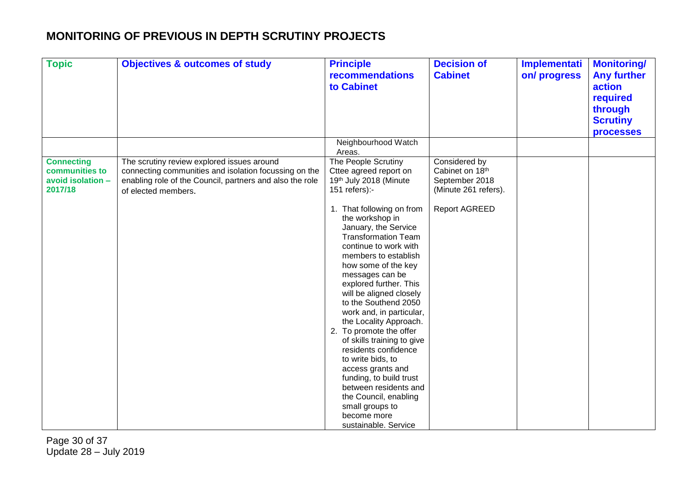| <b>Topic</b>                                                        | <b>Objectives &amp; outcomes of study</b>                                                                                                                                              | <b>Principle</b><br><b>recommendations</b><br>to Cabinet                                                                                                                                                                                                                                                                                                                                                                                                                                                                                                                                                                                                                                       | <b>Decision of</b><br><b>Cabinet</b>                                                               | <b>Implementati</b><br>on/progress | <b>Monitoring/</b><br><b>Any further</b><br>action<br>required<br>through<br><b>Scrutiny</b><br><b>processes</b> |
|---------------------------------------------------------------------|----------------------------------------------------------------------------------------------------------------------------------------------------------------------------------------|------------------------------------------------------------------------------------------------------------------------------------------------------------------------------------------------------------------------------------------------------------------------------------------------------------------------------------------------------------------------------------------------------------------------------------------------------------------------------------------------------------------------------------------------------------------------------------------------------------------------------------------------------------------------------------------------|----------------------------------------------------------------------------------------------------|------------------------------------|------------------------------------------------------------------------------------------------------------------|
|                                                                     |                                                                                                                                                                                        | Neighbourhood Watch<br>Areas.                                                                                                                                                                                                                                                                                                                                                                                                                                                                                                                                                                                                                                                                  |                                                                                                    |                                    |                                                                                                                  |
| <b>Connecting</b><br>communities to<br>avoid isolation -<br>2017/18 | The scrutiny review explored issues around<br>connecting communities and isolation focussing on the<br>enabling role of the Council, partners and also the role<br>of elected members. | The People Scrutiny<br>Cttee agreed report on<br>19th July 2018 (Minute<br>151 refers):-<br>1. That following on from<br>the workshop in<br>January, the Service<br><b>Transformation Team</b><br>continue to work with<br>members to establish<br>how some of the key<br>messages can be<br>explored further. This<br>will be aligned closely<br>to the Southend 2050<br>work and, in particular,<br>the Locality Approach.<br>2. To promote the offer<br>of skills training to give<br>residents confidence<br>to write bids, to<br>access grants and<br>funding, to build trust<br>between residents and<br>the Council, enabling<br>small groups to<br>become more<br>sustainable. Service | Considered by<br>Cabinet on 18th<br>September 2018<br>(Minute 261 refers).<br><b>Report AGREED</b> |                                    |                                                                                                                  |

Page 30 of 37 Update 28 – July 2019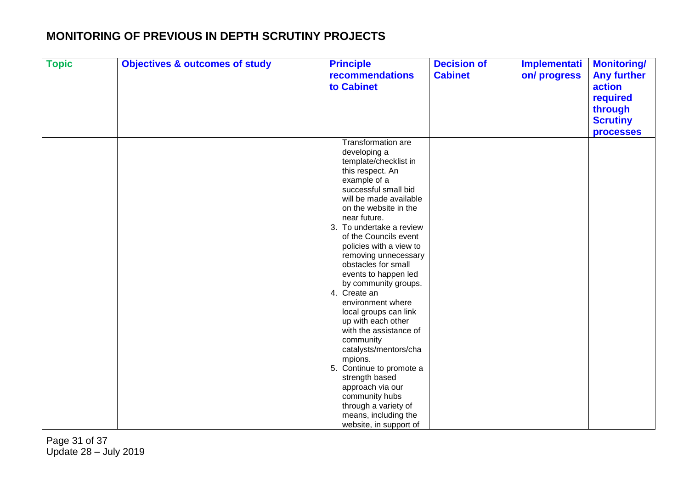| <b>Topic</b> | <b>Objectives &amp; outcomes of study</b> | <b>Principle</b><br>recommendations<br>to Cabinet                                                                                                                                                                                                                                                                                                                                                                                                                                                                                                                                                                                                                                                      | <b>Decision of</b><br><b>Cabinet</b> | Implementati<br>on/progress | <b>Monitoring/</b><br><b>Any further</b><br>action<br>required<br>through |
|--------------|-------------------------------------------|--------------------------------------------------------------------------------------------------------------------------------------------------------------------------------------------------------------------------------------------------------------------------------------------------------------------------------------------------------------------------------------------------------------------------------------------------------------------------------------------------------------------------------------------------------------------------------------------------------------------------------------------------------------------------------------------------------|--------------------------------------|-----------------------------|---------------------------------------------------------------------------|
|              |                                           |                                                                                                                                                                                                                                                                                                                                                                                                                                                                                                                                                                                                                                                                                                        |                                      |                             | <b>Scrutiny</b><br><b>processes</b>                                       |
|              |                                           | Transformation are<br>developing a<br>template/checklist in<br>this respect. An<br>example of a<br>successful small bid<br>will be made available<br>on the website in the<br>near future.<br>3. To undertake a review<br>of the Councils event<br>policies with a view to<br>removing unnecessary<br>obstacles for small<br>events to happen led<br>by community groups.<br>4. Create an<br>environment where<br>local groups can link<br>up with each other<br>with the assistance of<br>community<br>catalysts/mentors/cha<br>mpions.<br>5. Continue to promote a<br>strength based<br>approach via our<br>community hubs<br>through a variety of<br>means, including the<br>website, in support of |                                      |                             |                                                                           |

Page 31 of 37 Update 28 – July 2019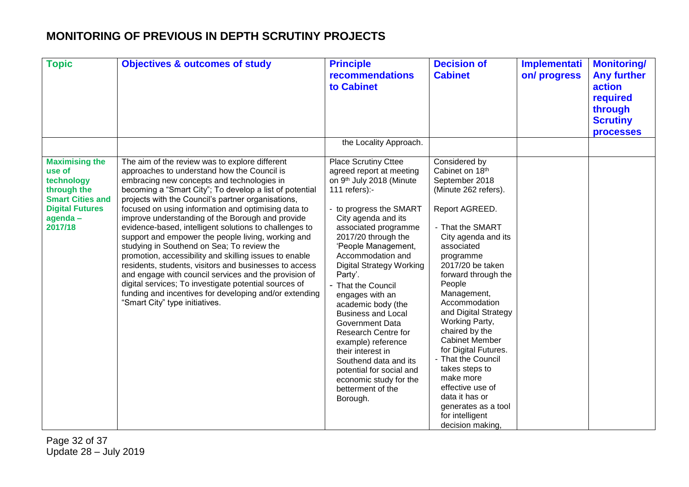| <b>Topic</b>                                                                                                                            | <b>Objectives &amp; outcomes of study</b>                                                                                                                                                                                                                                                                                                                                                                                                                                                                                                                                                                                                                                                                                                                                                                                                                               | <b>Principle</b><br><b>recommendations</b><br>to Cabinet                                                                                                                                                                                                                                                                                                                                                                                                                                                                                                                                                | <b>Decision of</b><br><b>Cabinet</b>                                                                                                                                                                                                                                                                                                                                                                                                                                                                                          | Implementati<br>on/progress | <b>Monitoring/</b><br><b>Any further</b><br>action<br>required<br>through<br><b>Scrutiny</b><br><b>processes</b> |
|-----------------------------------------------------------------------------------------------------------------------------------------|-------------------------------------------------------------------------------------------------------------------------------------------------------------------------------------------------------------------------------------------------------------------------------------------------------------------------------------------------------------------------------------------------------------------------------------------------------------------------------------------------------------------------------------------------------------------------------------------------------------------------------------------------------------------------------------------------------------------------------------------------------------------------------------------------------------------------------------------------------------------------|---------------------------------------------------------------------------------------------------------------------------------------------------------------------------------------------------------------------------------------------------------------------------------------------------------------------------------------------------------------------------------------------------------------------------------------------------------------------------------------------------------------------------------------------------------------------------------------------------------|-------------------------------------------------------------------------------------------------------------------------------------------------------------------------------------------------------------------------------------------------------------------------------------------------------------------------------------------------------------------------------------------------------------------------------------------------------------------------------------------------------------------------------|-----------------------------|------------------------------------------------------------------------------------------------------------------|
|                                                                                                                                         |                                                                                                                                                                                                                                                                                                                                                                                                                                                                                                                                                                                                                                                                                                                                                                                                                                                                         | the Locality Approach.                                                                                                                                                                                                                                                                                                                                                                                                                                                                                                                                                                                  |                                                                                                                                                                                                                                                                                                                                                                                                                                                                                                                               |                             |                                                                                                                  |
| <b>Maximising the</b><br>use of<br>technology<br>through the<br><b>Smart Cities and</b><br><b>Digital Futures</b><br>agenda-<br>2017/18 | The aim of the review was to explore different<br>approaches to understand how the Council is<br>embracing new concepts and technologies in<br>becoming a "Smart City"; To develop a list of potential<br>projects with the Council's partner organisations,<br>focused on using information and optimising data to<br>improve understanding of the Borough and provide<br>evidence-based, intelligent solutions to challenges to<br>support and empower the people living, working and<br>studying in Southend on Sea; To review the<br>promotion, accessibility and skilling issues to enable<br>residents, students, visitors and businesses to access<br>and engage with council services and the provision of<br>digital services; To investigate potential sources of<br>funding and incentives for developing and/or extending<br>"Smart City" type initiatives. | <b>Place Scrutiny Cttee</b><br>agreed report at meeting<br>on 9th July 2018 (Minute<br>111 refers):-<br>- to progress the SMART<br>City agenda and its<br>associated programme<br>2017/20 through the<br>'People Management,<br>Accommodation and<br><b>Digital Strategy Working</b><br>Party'.<br>- That the Council<br>engages with an<br>academic body (the<br><b>Business and Local</b><br><b>Government Data</b><br>Research Centre for<br>example) reference<br>their interest in<br>Southend data and its<br>potential for social and<br>economic study for the<br>betterment of the<br>Borough. | Considered by<br>Cabinet on 18th<br>September 2018<br>(Minute 262 refers).<br>Report AGREED.<br>- That the SMART<br>City agenda and its<br>associated<br>programme<br>2017/20 be taken<br>forward through the<br>People<br>Management,<br>Accommodation<br>and Digital Strategy<br>Working Party,<br>chaired by the<br><b>Cabinet Member</b><br>for Digital Futures.<br>- That the Council<br>takes steps to<br>make more<br>effective use of<br>data it has or<br>generates as a tool<br>for intelligent<br>decision making, |                             |                                                                                                                  |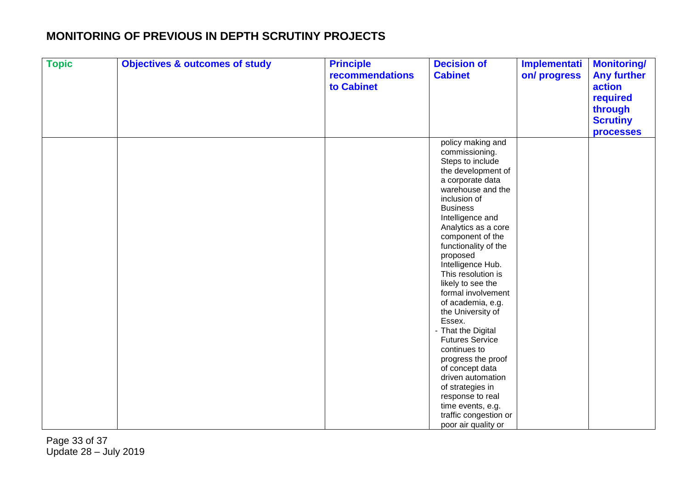| <b>Topic</b> | <b>Objectives &amp; outcomes of study</b> | <b>Principle</b><br>recommendations<br>to Cabinet | <b>Decision of</b><br><b>Cabinet</b>                                                                                                                                                                                                                                                                                                                                                                                                                                                                                                                                                                                                              | <b>Implementati</b><br>on/progress | <b>Monitoring/</b><br><b>Any further</b><br>action<br>required<br>through<br><b>Scrutiny</b><br><b>processes</b> |
|--------------|-------------------------------------------|---------------------------------------------------|---------------------------------------------------------------------------------------------------------------------------------------------------------------------------------------------------------------------------------------------------------------------------------------------------------------------------------------------------------------------------------------------------------------------------------------------------------------------------------------------------------------------------------------------------------------------------------------------------------------------------------------------------|------------------------------------|------------------------------------------------------------------------------------------------------------------|
|              |                                           |                                                   | policy making and<br>commissioning.<br>Steps to include<br>the development of<br>a corporate data<br>warehouse and the<br>inclusion of<br><b>Business</b><br>Intelligence and<br>Analytics as a core<br>component of the<br>functionality of the<br>proposed<br>Intelligence Hub.<br>This resolution is<br>likely to see the<br>formal involvement<br>of academia, e.g.<br>the University of<br>Essex.<br>- That the Digital<br><b>Futures Service</b><br>continues to<br>progress the proof<br>of concept data<br>driven automation<br>of strategies in<br>response to real<br>time events, e.g.<br>traffic congestion or<br>poor air quality or |                                    |                                                                                                                  |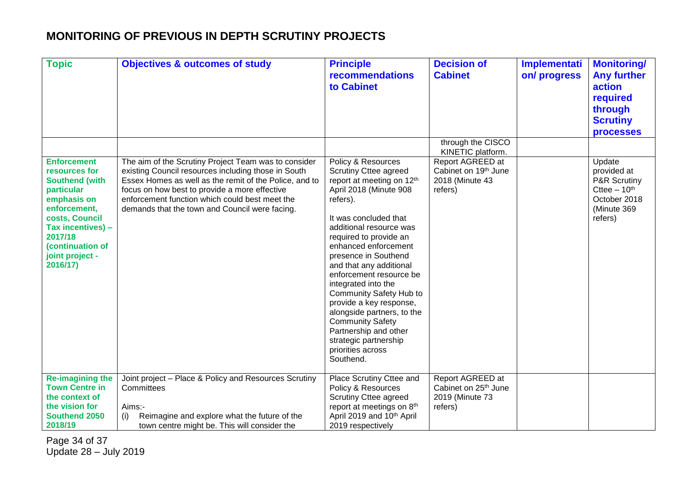| <b>Topic</b>                                                                                                                                                                                                   | <b>Objectives &amp; outcomes of study</b>                                                                                                                                                                                                                                                                                  | <b>Principle</b><br>recommendations<br>to Cabinet                                                                                                                                                                                                                                                                                                                                                                                                                                                                                   | <b>Decision of</b><br><b>Cabinet</b><br>through the CISCO                                   | Implementati<br>on/progress | <b>Monitoring/</b><br><b>Any further</b><br>action<br>required<br>through<br><b>Scrutiny</b><br><b>processes</b> |
|----------------------------------------------------------------------------------------------------------------------------------------------------------------------------------------------------------------|----------------------------------------------------------------------------------------------------------------------------------------------------------------------------------------------------------------------------------------------------------------------------------------------------------------------------|-------------------------------------------------------------------------------------------------------------------------------------------------------------------------------------------------------------------------------------------------------------------------------------------------------------------------------------------------------------------------------------------------------------------------------------------------------------------------------------------------------------------------------------|---------------------------------------------------------------------------------------------|-----------------------------|------------------------------------------------------------------------------------------------------------------|
| <b>Enforcement</b><br>resources for<br><b>Southend (with</b><br>particular<br>emphasis on<br>enforcement,<br>costs, Council<br>Tax incentives) -<br>2017/18<br>(continuation of<br>joint project -<br>2016/17) | The aim of the Scrutiny Project Team was to consider<br>existing Council resources including those in South<br>Essex Homes as well as the remit of the Police, and to<br>focus on how best to provide a more effective<br>enforcement function which could best meet the<br>demands that the town and Council were facing. | Policy & Resources<br><b>Scrutiny Cttee agreed</b><br>report at meeting on 12th<br>April 2018 (Minute 908<br>refers).<br>It was concluded that<br>additional resource was<br>required to provide an<br>enhanced enforcement<br>presence in Southend<br>and that any additional<br>enforcement resource be<br>integrated into the<br>Community Safety Hub to<br>provide a key response,<br>alongside partners, to the<br><b>Community Safety</b><br>Partnership and other<br>strategic partnership<br>priorities across<br>Southend. | KINETIC platform.<br>Report AGREED at<br>Cabinet on 19th June<br>2018 (Minute 43<br>refers) |                             | Update<br>provided at<br>P&R Scrutiny<br>Cttee $-10th$<br>October 2018<br>(Minute 369<br>refers)                 |
| <b>Re-imagining the</b><br><b>Town Centre in</b><br>the context of<br>the vision for<br>Southend 2050<br>2018/19                                                                                               | Joint project - Place & Policy and Resources Scrutiny<br>Committees<br>Aims:-<br>Reimagine and explore what the future of the<br>(i)<br>town centre might be. This will consider the                                                                                                                                       | Place Scrutiny Cttee and<br>Policy & Resources<br><b>Scrutiny Cttee agreed</b><br>report at meetings on 8th<br>April 2019 and 10 <sup>th</sup> April<br>2019 respectively                                                                                                                                                                                                                                                                                                                                                           | Report AGREED at<br>Cabinet on 25 <sup>th</sup> June<br>2019 (Minute 73<br>refers)          |                             |                                                                                                                  |

Page 34 of 37 Update 28 – July 2019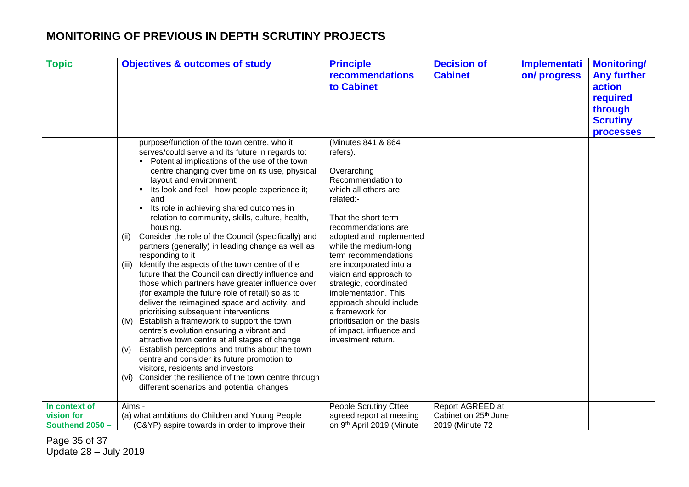| <b>Topic</b>                | <b>Objectives &amp; outcomes of study</b>                                                                                                                                                                                                                                                                                                                                                                                                                                                                                                                                                                                                                                                                                                                                                                                                                                                                                                                                                                                                                                                                                                                                                                                                                                 | <b>Principle</b><br>recommendations<br>to Cabinet                                                                                                                                                                                                                                                                                                                                                                                                                       | <b>Decision of</b><br><b>Cabinet</b>                 | <b>Implementati</b><br>on/progress | <b>Monitoring/</b><br><b>Any further</b><br>action<br>required<br>through |
|-----------------------------|---------------------------------------------------------------------------------------------------------------------------------------------------------------------------------------------------------------------------------------------------------------------------------------------------------------------------------------------------------------------------------------------------------------------------------------------------------------------------------------------------------------------------------------------------------------------------------------------------------------------------------------------------------------------------------------------------------------------------------------------------------------------------------------------------------------------------------------------------------------------------------------------------------------------------------------------------------------------------------------------------------------------------------------------------------------------------------------------------------------------------------------------------------------------------------------------------------------------------------------------------------------------------|-------------------------------------------------------------------------------------------------------------------------------------------------------------------------------------------------------------------------------------------------------------------------------------------------------------------------------------------------------------------------------------------------------------------------------------------------------------------------|------------------------------------------------------|------------------------------------|---------------------------------------------------------------------------|
|                             |                                                                                                                                                                                                                                                                                                                                                                                                                                                                                                                                                                                                                                                                                                                                                                                                                                                                                                                                                                                                                                                                                                                                                                                                                                                                           |                                                                                                                                                                                                                                                                                                                                                                                                                                                                         |                                                      |                                    | <b>Scrutiny</b><br><b>processes</b>                                       |
|                             | purpose/function of the town centre, who it<br>serves/could serve and its future in regards to:<br>Potential implications of the use of the town<br>centre changing over time on its use, physical<br>layout and environment;<br>Its look and feel - how people experience it;<br>and<br>Its role in achieving shared outcomes in<br>relation to community, skills, culture, health,<br>housing.<br>Consider the role of the Council (specifically) and<br>(ii)<br>partners (generally) in leading change as well as<br>responding to it<br>Identify the aspects of the town centre of the<br>(iii)<br>future that the Council can directly influence and<br>those which partners have greater influence over<br>(for example the future role of retail) so as to<br>deliver the reimagined space and activity, and<br>prioritising subsequent interventions<br>Establish a framework to support the town<br>(iv)<br>centre's evolution ensuring a vibrant and<br>attractive town centre at all stages of change<br>Establish perceptions and truths about the town<br>(v)<br>centre and consider its future promotion to<br>visitors, residents and investors<br>Consider the resilience of the town centre through<br>(vi)<br>different scenarios and potential changes | (Minutes 841 & 864<br>refers).<br>Overarching<br>Recommendation to<br>which all others are<br>related:-<br>That the short term<br>recommendations are<br>adopted and implemented<br>while the medium-long<br>term recommendations<br>are incorporated into a<br>vision and approach to<br>strategic, coordinated<br>implementation. This<br>approach should include<br>a framework for<br>prioritisation on the basis<br>of impact, influence and<br>investment return. |                                                      |                                    |                                                                           |
| In context of<br>vision for | Aims:-<br>(a) what ambitions do Children and Young People                                                                                                                                                                                                                                                                                                                                                                                                                                                                                                                                                                                                                                                                                                                                                                                                                                                                                                                                                                                                                                                                                                                                                                                                                 | <b>People Scrutiny Cttee</b><br>agreed report at meeting                                                                                                                                                                                                                                                                                                                                                                                                                | Report AGREED at<br>Cabinet on 25 <sup>th</sup> June |                                    |                                                                           |
| Southend 2050 -             | (C&YP) aspire towards in order to improve their                                                                                                                                                                                                                                                                                                                                                                                                                                                                                                                                                                                                                                                                                                                                                                                                                                                                                                                                                                                                                                                                                                                                                                                                                           | on 9th April 2019 (Minute                                                                                                                                                                                                                                                                                                                                                                                                                                               | 2019 (Minute 72                                      |                                    |                                                                           |

Page 35 of 37 Update 28 – July 2019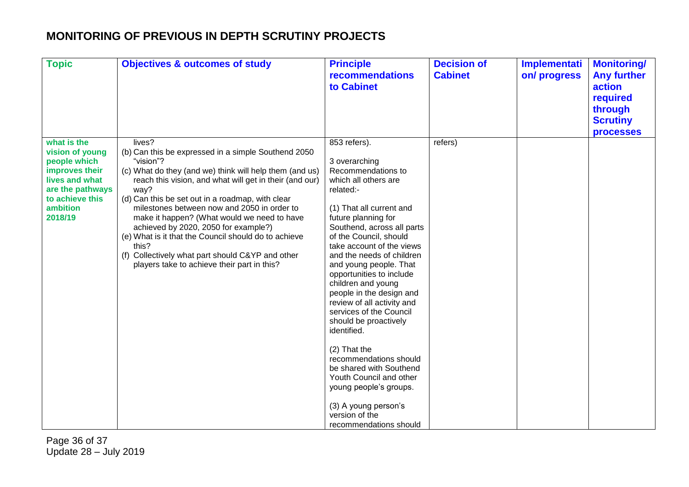| <b>Topic</b>                                                                                                                                     | <b>Objectives &amp; outcomes of study</b>                                                                                                                                                                                                                                                                                                                                                                                                                                                                                                                              | <b>Principle</b><br><b>recommendations</b><br>to Cabinet                                                                                                                                                                                                                                                                                                                                                                                                                                                                                                                                                                                                             | <b>Decision of</b><br><b>Cabinet</b> | Implementati<br>on/progress | <b>Monitoring/</b><br><b>Any further</b><br>action<br>required<br>through<br><b>Scrutiny</b><br><b>processes</b> |
|--------------------------------------------------------------------------------------------------------------------------------------------------|------------------------------------------------------------------------------------------------------------------------------------------------------------------------------------------------------------------------------------------------------------------------------------------------------------------------------------------------------------------------------------------------------------------------------------------------------------------------------------------------------------------------------------------------------------------------|----------------------------------------------------------------------------------------------------------------------------------------------------------------------------------------------------------------------------------------------------------------------------------------------------------------------------------------------------------------------------------------------------------------------------------------------------------------------------------------------------------------------------------------------------------------------------------------------------------------------------------------------------------------------|--------------------------------------|-----------------------------|------------------------------------------------------------------------------------------------------------------|
| what is the<br>vision of young<br>people which<br>improves their<br>lives and what<br>are the pathways<br>to achieve this<br>ambition<br>2018/19 | lives?<br>(b) Can this be expressed in a simple Southend 2050<br>"vision"?<br>(c) What do they (and we) think will help them (and us)<br>reach this vision, and what will get in their (and our)<br>way?<br>(d) Can this be set out in a roadmap, with clear<br>milestones between now and 2050 in order to<br>make it happen? (What would we need to have<br>achieved by 2020, 2050 for example?)<br>(e) What is it that the Council should do to achieve<br>this?<br>(f) Collectively what part should C&YP and other<br>players take to achieve their part in this? | 853 refers).<br>3 overarching<br>Recommendations to<br>which all others are<br>related:-<br>(1) That all current and<br>future planning for<br>Southend, across all parts<br>of the Council, should<br>take account of the views<br>and the needs of children<br>and young people. That<br>opportunities to include<br>children and young<br>people in the design and<br>review of all activity and<br>services of the Council<br>should be proactively<br>identified.<br>(2) That the<br>recommendations should<br>be shared with Southend<br>Youth Council and other<br>young people's groups.<br>(3) A young person's<br>version of the<br>recommendations should | refers)                              |                             |                                                                                                                  |

Page 36 of 37 Update 28 – July 2019